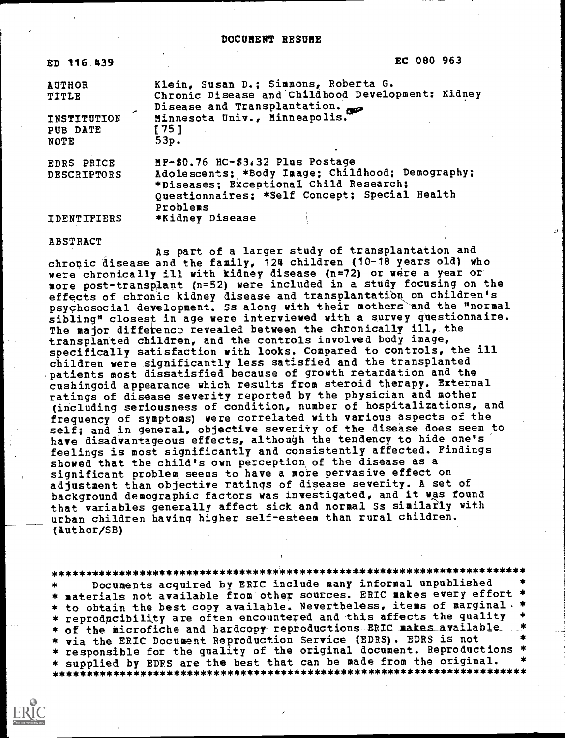| ED 116.439                          | EC 080 963                                                                                                                                                                                  |
|-------------------------------------|---------------------------------------------------------------------------------------------------------------------------------------------------------------------------------------------|
| <b>AUTHOR</b><br><b>TITLE</b><br>"• | Klein, Susan D.; Simmons, Roberta G.<br>Chronic Disease and Childhood Development: Kidney<br>Disease and Transplantation.                                                                   |
| INSTITUTION<br>PUB DATE<br>NOTE     | Minnesota Univ., Minneapolis.<br>$[75]$<br>53p.                                                                                                                                             |
| <b>EDRS PRICE</b><br>DESCRIPTORS    | MF-\$0.76 HC-\$3.32 Plus Postage<br>Adolescents; *Body Image; Childhood; Demography;<br>*Diseases; Exceptional Child Research;<br>Questionnaires; *Self Concept; Special Health<br>Problems |
| IDENTIFIERS                         | *Kidney Disease                                                                                                                                                                             |

ABSTRACT

As part of a larger study of transplantation and chronic disease and the family, 124 children (10-18 years old) who were chronically ill with kidney disease (n=72) or were a year or more post-transplant (n=52) were included in a study focusing on the effects of chronic kidney disease and transplantation on children's psychosocial development. Ss along with their mothers and the "normal sibling" closest in age were interviewed with a survey questionnaire. The major difference revealed between the chronically ill, the transplanted children, and the controls involved body image, specifically satisfaction with looks. Compared to controls, the ill children were significantly less satisfied and the transplanted 'patients most dissatisfied because of growth retardation and the cushingoid appearance which results from steroid therapy. External ratings of disease severity reported by the physician and mother (including seriousness of condition, number of hospitalizations, and frequency of symptoms) were correlated with various aspects of the self; and in general, objective severity of the disease does seem to have disadvantageous effects, although the tendency to hide one's feelings is most significantly and consistently affected. Findings showed that the child's own perception of the disease as a significant problem seems to have a more pervasive effect on adjustment than objective ratings of disease severity. A set of background demographic factors was investigated, and it was found that variables generally affect sick and normal Ss similarly with urban children having higher self-esteem than rural children. (Author/SB)

\*\*\*\*\*\*\*\*\*\*\*\*\*\*\*\*\*\*\*\*\*\*\*\*\*\*\*\*\*\*\*\*\*\*\*\*\*\*\*\*\*\*\*\*\*\*\*\*\*\*\*\*\*\*\*\*\*\*\*\*\*\*\*\*\*\*\*\*\*\*\* Documents acquired by ERIC include many informal unpublished \* materials not available from other sources. ERIC makes every effort \* \* to obtain the best copy available. Nevertheless, items of marginal. \* \* reproducibility are often encountered and this affects the quality \* of the microfiche and hardcopy- reproductions-ERIC makes available\_ \* via the ERIC Document Reproduction Service (EDRS). EDRS is not \* responsible for the quality of the original document. Reproductions \* \* supplied by EDRS are the best that can be made from the original. \*\*\*\*\*\*\*\*\*\*\*\*\*\*\*\*\*\*\*\*\*\*\*\*\*\*\*\*\*\*\*\*\*\*\*\*\*\*\*\*\*\*\*\*\*\*\*\*\*\*\*\*\*\*\*\*\*\*\*\*\*\*\*\*\*\*\*\*\*\*\*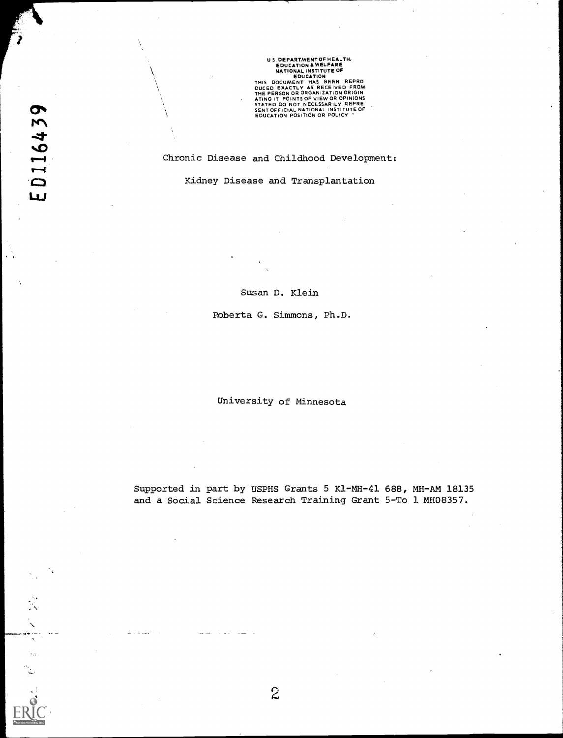US. DEPARTMENT OF HEALTH,<br>
EDUCATION A WELFARE<br>
NATIONAL INSTITUTE OF<br>
EDUCATION A WELFARE<br>
NATIONAL INSTITUTE OF<br>
THIS DOCUMENT HAS BEEN REPRO<br>
DUCED EXACTLY AS RECEIVED FROM<br>
ATING IT POINTS OF VIEW OR OPINIONS<br>
STATED D

# Chronic Disease and Childhood Development:

Kidney Disease and Transplantation

Susan D. Klein

Roberta G. Simmons, Ph.D.

University of Minnesota

Supported in part by USPHS Grants 5 Kl-MH-41 688, MH-AM 18135 and a Social Science Research Training Grant 5-To 1 MH08357.

 $\boldsymbol{\mathcal{N}}$ l.  $\sim$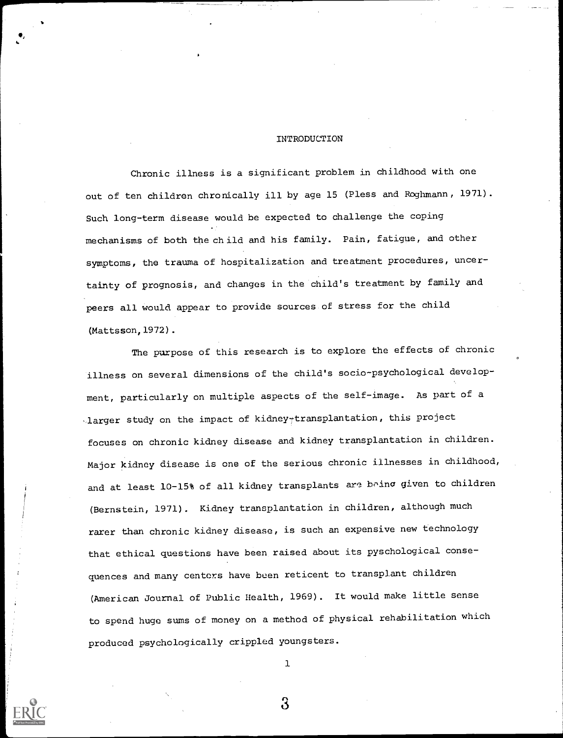### INTRODUCTION

Chronic illness is a significant problem in childhood with one out of ten children chronically ill by age 15 (Pless and Roghmann, 1971). Such long-term disease would be expected to challenge the coping mechanisms of both the child and his family. Pain, fatigue, and other symptoms, the trauma of hospitalization and treatment procedures, uncertainty of prognosis, and changes in the child's treatment by family and peers all would appear to provide sources of stress for the child (Mattsson,1972).

The purpose of this research is to explore the effects of chronic illness on several dimensions of the child's socio-psychological development, particularly on multiple aspects of the self-image. As part of a .larger study on the impact of kidney+transplantation, this project focuses on chronic kidney disease and kidney transplantation in children. Major kidney disease is one of the serious chronic illnesses in childhood, and at least 10-15% of all kidney transplants are being given to children (Bernstein, 1971). Kidney transplantation in children, although much rarer than chronic kidney disease, is such an expensive new technology that ethical questions have been raised about its pyschological consequences and many centers have been reticent to transplant children (American Journal of Public Health, 1969). It would make little sense to spend huge sums of money on a method of physical rehabilitation which produced psychologically crippled youngsters.

ı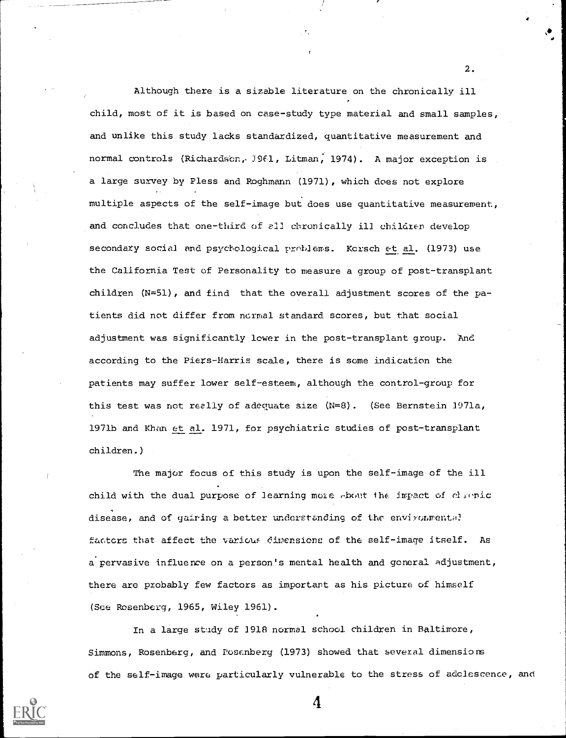Although there is a sizable literature on the chronically ill child, most of it is based on case-study type material and small samples, and unlike this study lacks standardized, quantitative measurement and normal controls (Richardson, 1961, Litman, 1974). A major exception is a large survey by Pless and Roghmann (1971), which does not explore multiple aspects of the self-image but does use quantitative measurement, and concludes that one-third of all chronically ill children develop secondary social and psychological problems. Kcrsch et al. (1973) use the California Test of Personality to measure a group of post-transplant children  $(N=51)$ , and find that the overall adjustment scores of the patients did not differ from normal standard scores, but that social adjustment was significantly lower in the post-transplant group. 'And according to the Piers-Harris scale, there is some indication the patients may suffer lower self-esteem, although the control-group for this test was not really of adequate size  $(N=8)$ . (See Bernstein 1971a, 1971b and Khan et al. 1971, fox psychiatric studies of post-transplant children.)

2.

The major focus of this study is upon the self-image of the ill child with the dual purpose of learning more  $\epsilon$  bout the impact of chronic disease, and of gairing a better understanding of the environmental factors that affect the various diwensions of the self-image itself. As a pervasive influence on a person's mental health and general adjustment, there are probably few factors as important as his picture of himself (See Rosenberg, 1965, Wiley 1961).

In a large study of 1918 normal school children in Baltimore, Simmons, Rosenberg, and Posenberg (1973) showed that several dimensions of the self-image were particularly vulnerable to the stress of adolescence, and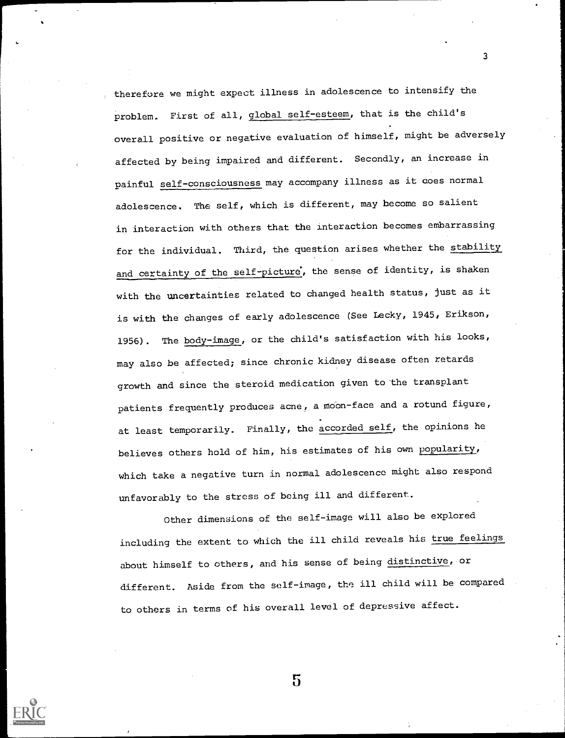therefore we might expect illness in adolescence to intensify the problem. First of all, global self-esteem, that is the child's overall positive or negative evaluation of himself, might be adversely affected by being impaired and different. Secondly, an increase in painful self-consciousness may accompany illness as it does normal adolescence. The self, which is different, may become so salient in interaction with others that the interaction becomes embarrassing for the individual. Third, the question arises whether the stability and certainty of the self-picture, the sense of identity, is shaken with the uncertainties related to changed health status, just as it is with the changes of early adolescence (See Lecky, 1945, Erikson, 1956). The body-image, or the child's satisfaction with his looks, may also be affected; since chronic kidney disease often retards growth and since the steroid medication given to the transplant patients frequently produces acne, a moon-face and a rotund figure, at least temporarily. Finally, the accorded self, the opinions he believes others hold of him, his estimates of his own popularity, which take a negative turn in normal adolescence might also respond unfavorably to the stress of being ill and different.

3

Other dimensions of the self-image will also be explored including the extent to which the ill child reveals his true feelings about himself to others, and his sense of being distinctive, or different. Aside from the self-image, the ill child will be compared to others in terms of his overall level of depressive affect.

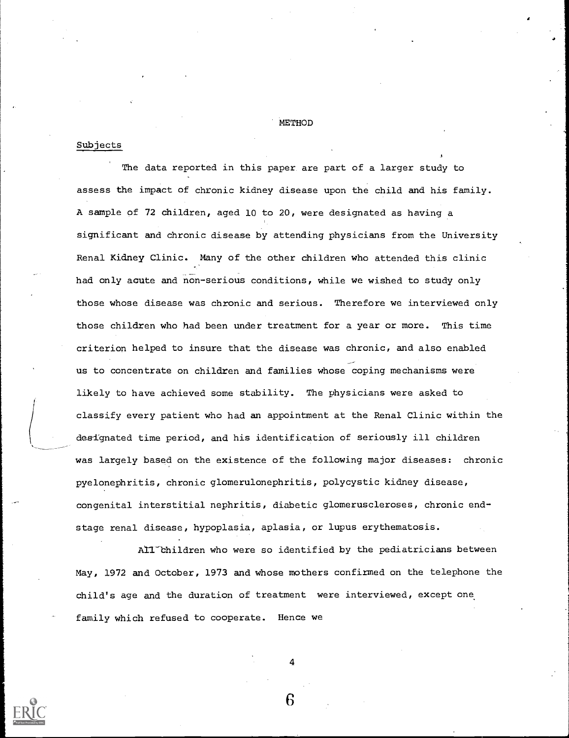METHOD

# Subjects

The data reported in this paper are part of a larger study to assess the impact of chronic kidney disease upon the child and his family. A sample of 72 children, aged 10 to 20, were designated as having a significant and chronic disease by attending physicians from the University Renal Kidney Clinic. Many of the other children who attended this clinic had only acute and non-serious conditions, while we wished to study only those whose disease was chronic and serious. Therefore we interviewed only those children who had been under treatment for a year or more. This time criterion helped to insure that the disease was chronic, and also enabled us to concentrate on children and families whose coping mechanisms were likely to have achieved some stability. The physicians were asked to classify every patient who had an appointment at the Renal Clinic within the designated time period, and his identification of seriously ill children was largely based on the existence of the following major diseases: chronic pyelonephritis, chronic glomerulonephritis, polycystic kidney disease, congenital interstitial nephritis, diabetic glomeruscleroses, chronic endstage renal disease, hypoplasia, aplasia, or lupus erythematosis.

All Children who were so identified by the pediatricians between May, 1972 and October, 1973 and whose mothers confirmed on the telephone the child's age and the duration of treatment were interviewed, except one family which refused to cooperate. Hence we

4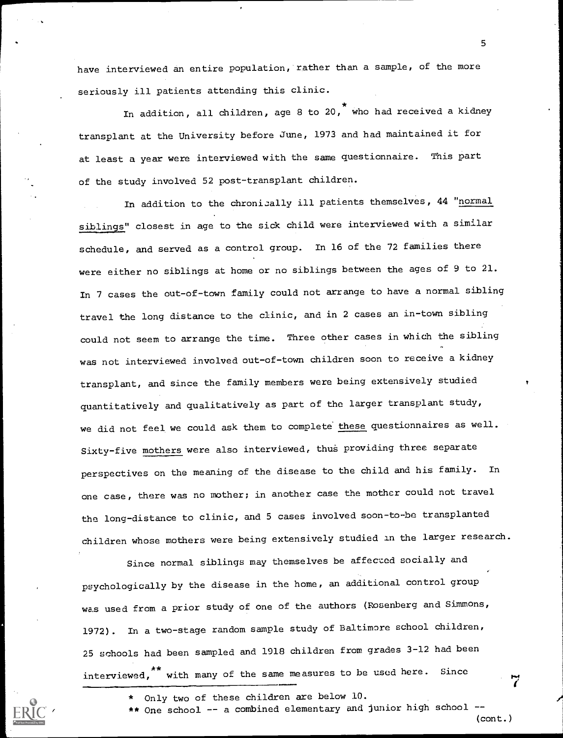have interviewed an entire population, rather than a sample, of the more seriously ill patients attending this clinic.

In addition, all children, age 8 to 20, who had received a kidney transplant at the University before June, 1973 and had maintained it for at least a year were interviewed with the same questionnaire. This part of the study involved 52 post-transplant children.

In addition to the chronically ill patients themselves, 44 "normal siblings" closest in age to the sick child were interviewed with a similar schedule, and served as a control group. In 16 of the 72 families there were either no siblings at home or no siblings between the ages of 9 to 21. In 7 cases the out-of-town family could not arrange to have a normal sibling travel the long distance to the clinic, and in 2 cases an in-town sibling could not seem to arrange the time. Three other cases in which the sibling was not interviewed involved out-of-town children soon to receive a kidney transplant, and since the family members were being extensively studied quantitatively and qualitatively as part of the larger transplant study, we did not feel we could ask them to complete these questionnaires as well. Sixty-five mothers were also interviewed, thus providing three separate perspectives on the meaning of the disease to the child and his family. In one case, there was no mother; in another case the mother could not travel the long-distance to clinic, and 5 cases involved soon-to-be transplanted children whose mothers were being extensively studied in the larger research.

Since normal siblings may themselves be affeczed socially and psychologically by the disease in the home, an additional control group was used from a prior study of one of the authors (Rosenberg and Simmons, 1972). In a two-stage random sample study of Baltimore school children, 25 schools had been sampled and 1918 children from grades 3-12 had been interviewed,<sup>\*\*</sup> with many of the same measures to be used here. Since

- \* Only two of these children are below 10.
- \*\* One school -- a combined elementary and junior high school --

(cont.)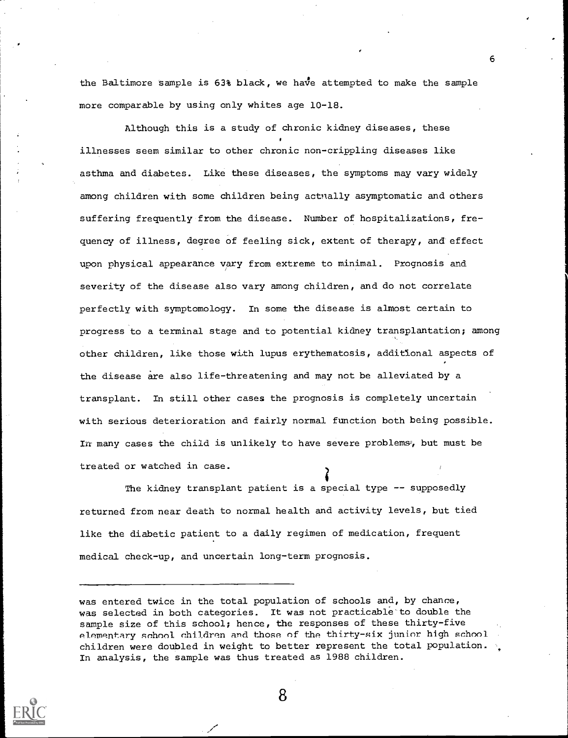the Baltimore sample is  $63\$  black, we have attempted to make the sample more comparable by using only whites age 10-18.

Although this is a study of chronic kidney diseases, these illnesses seem similar to other chronic non-crippling diseases like asthma and diabetes. Like these diseases, the symptoms may vary widely among children with some children being actually asymptomatic and others suffering frequently from the disease. Number of hospitalizations, frequency of illness, degree of feeling sick, extent of therapy, and'effect upon physical appearance vary from extreme to minimal. Prognosis and severity of the disease also vary among children, and do not correlate perfectly with symptomology. In some the disease is almost certain to progress to a terminal stage and to potential kidney transplantation; among other children, like those with lupus erythematosis, additional aspects of the disease are also life-threatening and may not be alleviated by a transplant. In still other cases the prognosis is completely uncertain with serious deterioration and fairly normal function both being possible. In many cases the child is unlikely to have severe problems, but must be treated or watched in case.

The kidney transplant patient is a special type -- supposedly returned from near death to normal health and activity levels, but tied like the diabetic patient to a daily regimen of medication, frequent medical check-up, and uncertain long-term prognosis.



8

was entered twice in the total population of schools and, by chance, was selected in both categories. It was not practicable to double the sample size of this school; hence, the responses of these thirty-five elementary school children and those of the thirty-six junior high school children were doubled in weight to better represent the total population. In analysis, the sample was thus treated as 1988 children.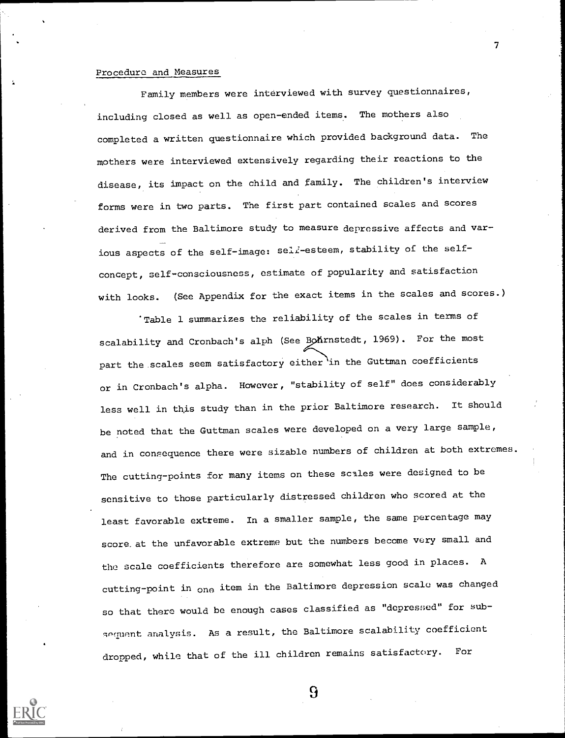# Procedure and Measures

Family members were interviewed with survey questionnaires, including closed as well as open-ended items. The mothers also completed a written questionnaire which provided background data. The mothers were interviewed extensively regarding their reactions to the disease, its impact on the child and family. The children's interview forms were in two parts. The first part contained scales and scores derived from the Baltimore study to measure depressive affects and various aspects of the self-image: self-esteem, stability of the selfconcept, self-consciousness, estimate of popularity and satisfaction with looks. (See Appendix for the exact items in the scales and scores.)

7

'Table 1 summarizes the reliability of the scales in terms of scalability and Cronbach's alph (See Bohrnstedt, 1969). For the most part the scales seem satisfactory either in the Guttman coefficients or in Cronbach's alpha. However, "stability of self" does considerably less well in this study than in the prior Baltimore research. It should be noted that the Guttman scales were developed on a very large sample, and in consequence there were sizable numbers of children at both extremes. The cutting-points for many items on these scales were designed to be sensitive to those particularly distressed children who scored at the least favorable extreme. In a smaller sample, the same percentage may score. at the unfavorable extreme but the numbers become very small and the scale coefficients therefore are somewhat less good in places. <sup>A</sup> cutting-point in one item in the Baltimore depression scale was changed so that there would be enough cases classified as "depressed" for subsequent analysis. As a result, the Baltimore scalability coefficient dropped, while that of the ill children remains satisfactory. For



 $\Omega$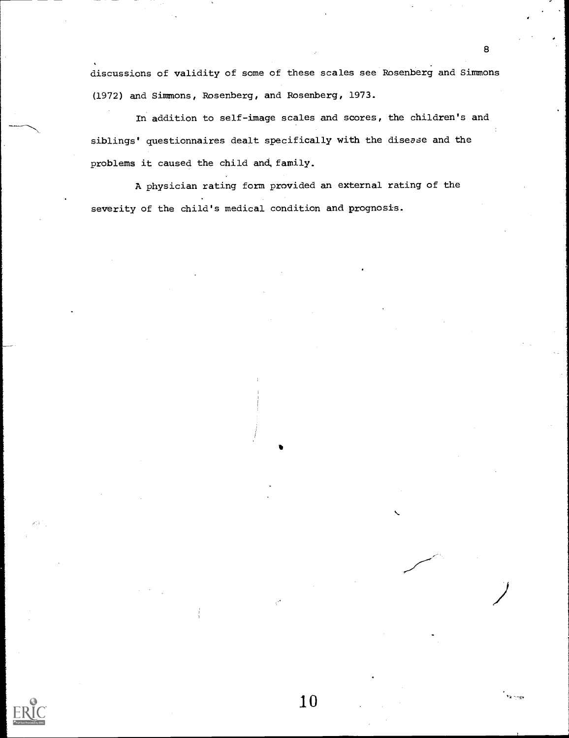discussions of validity of some of these scales see Rosenberg and Simmons (1972) and Simmons, Rosenberg, and Rosenberg, 1973.

In addition to self-image scales and scores, the children's and siblings' questionnaires dealt specifically with the disease and the problems it caused the child and, family.

10

A physician rating form provided an external rating of the severity of the child's medical condition and prognosis.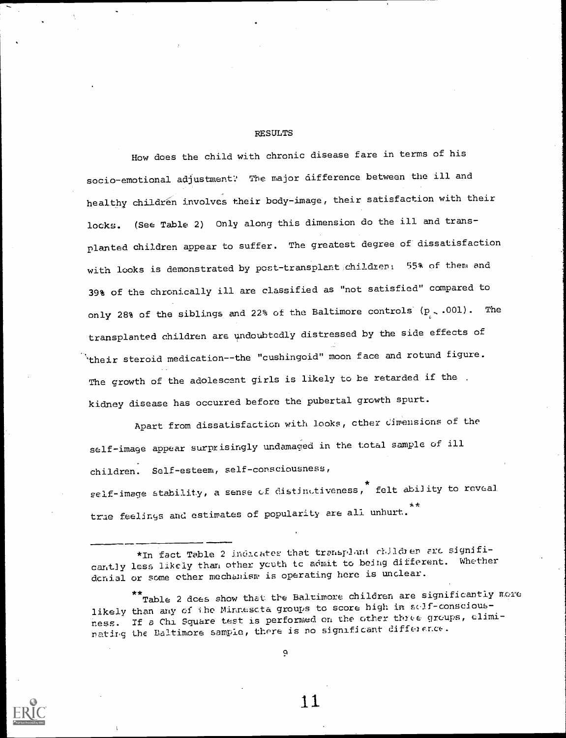### RESULTS

How does the child with chronic disease fare in terms of his socio-emotional adjustment: The major difference between the ill and healthy children involves their body-image, their satisfaction with their locks. (See Table 2) Only along this dimension do the ill and transplanted children appear to suffer. The greatest degree of dissatisfaction with looks is demonstrated by post-transplant children: 55% of them and 39% of the chronically ill are classified as "not satisfied" compared to only 28% of the siblings and 22% of the Baltimore controls  $(p_1, .001)$ . The transplanted children are undoubtedly distressed by the side effects of  $\mathcal{L}_{\text{their}}$  steroid medication--the "cushingoid" moon face and rotund figure. The growth of the adolescent girls is likely to be retarded if the . kidney disease has occurred before the pubertal growth spurt.

Apart from dissatisfaction with looks, other dimensions of the self-image appear surprisingly undamaged in the total sample of ill children. Self-esteem, self-consciousness, self-image stability, a sense of distinutiveness,  $^*$  felt ability to reveal \* \* trae feelings and estimates of popularity are all unhurt.

 $\mathbf{\hat{r}}$  Table 2 does show that the Baltimore children are significantly more likely than any of the Minnescta groups to score high in self-consciousness. If a Chi Square test is performed on the other there groups, eliminating the Baltimore sample, there is no significant difference.





<sup>\*</sup>In fact Table 2 indicates that transplant children are significantly less likely than other youth to admit to being different. Whether denial or some other mechanism is operating here is unclear.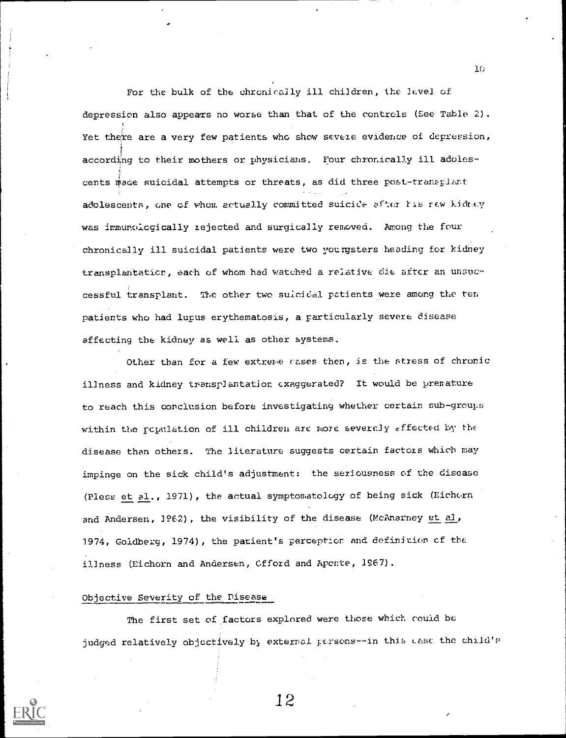For the bulk of the chronically ill children, the level of depression also appears no worse than that of the controls (See Table 2). Yet there are a very few patients who show severe evidence of depression, according to their mothers or physicians. Four chronically ill adolescents made suicidal attempts or threats, as did three post-traneplart adolescents, one of whom actually committed suiciCe after Ils rew kidrey was immunoicgically rejected and surgically removed. Among the four chronically ill suicidal patients were two yourgsters heading for kidney transplantaticn, each of whom had watched a relative die after an unsuccessful transplant. The other two suicidal patients were among the ten patients who had lupus erythematosis, a particularly severe disease affecting the kidney as well as other systems.

Other than for a few extreme cases then, is the stress of chronic illness and kidney transplantation exaggerated? It would be premature to reach this conclusion before investigating whether certain sub-grcupe within the rcpulation of ill children are more severely affected by the disease than others. The literature suggests certain factors which may impinge on the sick child's adjustment: the seriousness of the disease (Pless et al., 1971), the actual symptomatology of being sick (Eichorn and Andersen, 1962), the visibility of the disease (McAnarney et al, 1974, Goldberg, 1974), the patient's perception and definition of the illness (Eichorn and Andersen, Offord and Aponte, 1967) ..

# Objective Severity of the Disease

The first set of factors explored were those which could be judged relatively objectively by external persons--in this case the child's



12

11;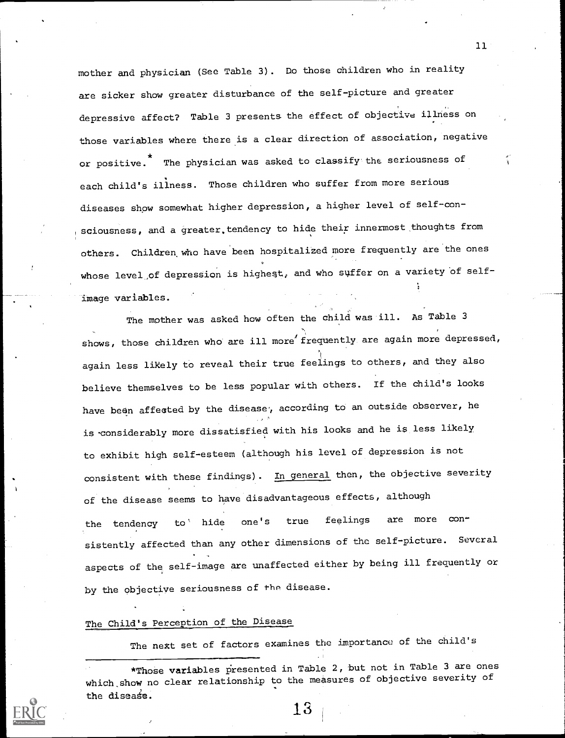mother and physician (See Table 3). Do those children who in reality are sicker show greater disturbance of the self-picture and greater depressive affect? Table 3 presents the effect of objective illness on those variables where there is a clear direction of association, negative or positive.  $*$  The physician was asked to classify the seriousness of  $\hspace{0.2cm}$ each child's illness. Those children who suffer from more serious diseases show somewhat higher depression, a higher level of self-con sciousness, and a greater tendency to hide their innermost thoughts from others. Children. who have been hospitalized more frequently are the ones whose level of depression is highest, and who suffer on a variety of selfimage variables.

The mother was asked how often the child was ill. As Table 3 shows, those children who are ill more frequently are again more depressed, again less likely to reveal their true feelings to others, and they also believe themselves to be less popular with others. If the child's looks have been affected by the disease, according to an outside observer, he is-considerably more dissatisfied with his looks and he is less likely to exhibit high self-esteem (although his level of depression is not consistent with these findings). In general then, the objective severity of the disease seems to have disadvantageous effects, although the tendency to hide one's true feelings are more consistently affected than any other dimensions of the self-picture. Several aspects of the self-image are unaffected either by being ill frequently or by the objective seriousness of the disease.

# The Child's Perception of the Disease

The next set of factors examines the importance of the child's

\*ThoSe variables presented in Table 2, but not in Table 3 are ones which show no clear relationship to the measures of objective severity of the disease.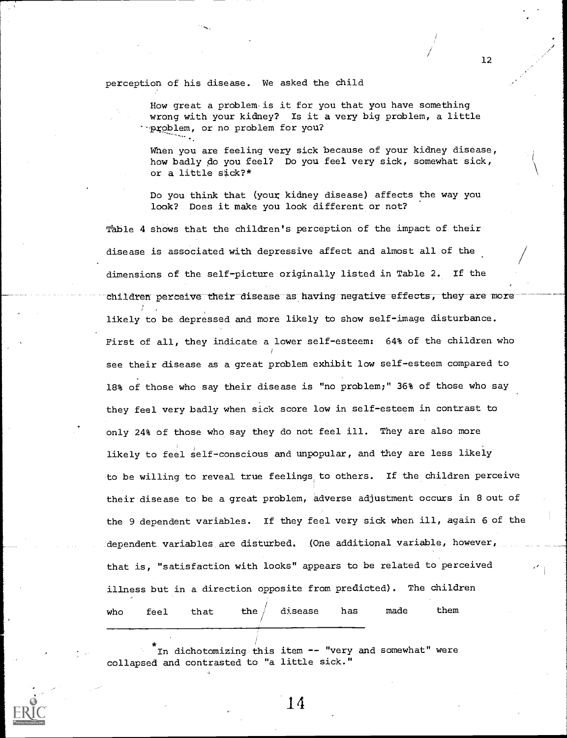perception of his disease. We asked the child

How great a problem-is it for you that you have something wrong with your kidney? Is it a very big problem, a little -problem, or no problem for you?

When you are feeling very sick because of your kidney disease, how badly do you feel? Do you feel very sick, somewhat sick, or a little sick?\*

12

Do you think that (your kidney disease) affects the way you look? Does it make you look different or not?

Table 4 shows that the children's perception of the impact of their disease is associated with depressive affect and almost all of the dimensions of the self-picture originally listed in Table 2. If the children perceive their disease as having negative effects, they-are-more likely to be depressed and more likely to show self-image disturbance. First of all, they indicate a lower self-esteem: 64% of the children who see their disease as a great problem exhibit low self-esteem compared to 18% of those who say their disease is "no problem;" 36% of those who say they feel very badly when sick score low in self-esteem in contrast to only 24% of those who say they do not feel ill. They are also more likely to feel self-conscious and unpopular, and they are less likely to be willing to reveal true feelings, to others. If the children perceive their disease to be a great problem, adverse adjustment occurs in Bout of the 9 dependent variables. If they feel very sick when ill, again 6 of the dependent variables are disturbed. (One additional variable, however, that is, "satisfaction with looks" appears to be related to perceived illness but in a direction opposite from predicted). The children who feel that the $/$  disease has made them

In dichotomizing this item -- "very and somewhat" were collapsed and contrasted to "a little sick."

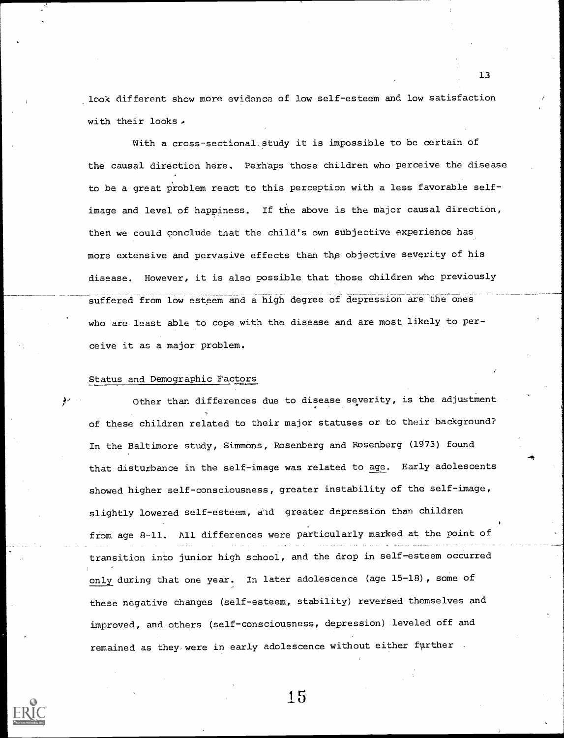look different show more evidence of low self-esteem and low satisfaction with their looks.

With a cross-sectional study it is impossible to be certain of the causal direction here. Perhaps those children who perceive the disease to be a great problem react to this perception with a less favorable selfimage and level of happiness. If the above is the major causal direction, then we could conclude that the child's own subjective experience has more extensive and pervasive effects than thp objective severity of his disease. However, it is also possible that those children who previously suffered from low esteem and a high degree of depression are the ones who are least able to cope with the disease and are most likely to perceive it as a major problem.

# Status and Demographic Factors

Other than differences due to disease severity, is the adjustment of these children related to their major statuses or to their background? In the Baltimore study, Simmons, Rosenberg and Rosenberg (1973) found that disturbance in the self-image was related to age. Early adolescents showed higher self-consciousness, greater instability of the self-image, slightly lowered self-esteem, and greater depression than children from age 8-11. All differences were particularly marked at the point of transition into junior high school, and the drop in self-esteem occurred only during that one year. In later adolescence (age 15-18), some of these negative changes (self-esteem, stability) reversed themselves and improved, and others (self-consciousness, depression) leveled off and remained as they were in early adolescence without either further



15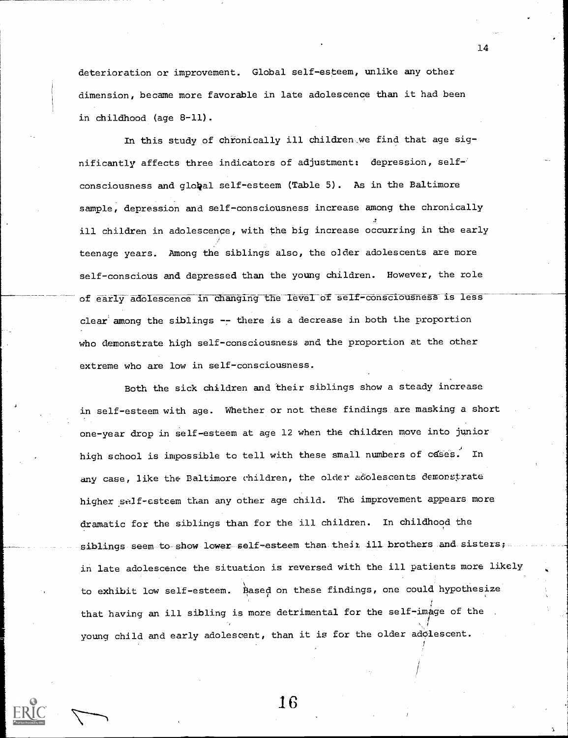deterioration or improvement. Global self-esteem, unlike any other dimension, became more favorable in late adolescence than it had been in childhood (age 8-11).

In this study of chronically ill children.we find that age significantly affects three indicators of adjustment: depression, self-' consciousness and global self-esteem (Table 5). As in the Baltimore sample, depression and self-consciousness increase among the chronically ill children in adolescence, with the big increase occurring in the early teenage years. Among the siblings also, the o]der adolescents are more self-conscious and depressed than the young children. However, the role of early adolescence in changing the level of self-consciousness is less clear among the siblings  $-$ -there is a decrease in both the proportion who demonstrate high self-consciousness and the proportion at the other extreme who are low in self-consciousness.

Both the sick children and their siblings show a steady increase in self-esteem with age. Whether or not these findings are masking a short one-year drop in self-esteem at age 12 when the children move into junior high school is impossible to tell with these small numbers of cases. In any case, like the Baltimore children, the older adolescents demonstrate higher self-esteem than any other age child. The improvement appears more dramatic for the siblings than for the ill children. In childhood the siblings seem to show lower self-esteem than their ill brothers and sisters; in late adolescence the situation is reversed with the ill patients more likely to exhibit low self-esteem. Based on these findings, one could hypothesize that having an ill sibling is more detrimental for the self-image of the . young child and early adolescent, than it is for the older adolescent.

14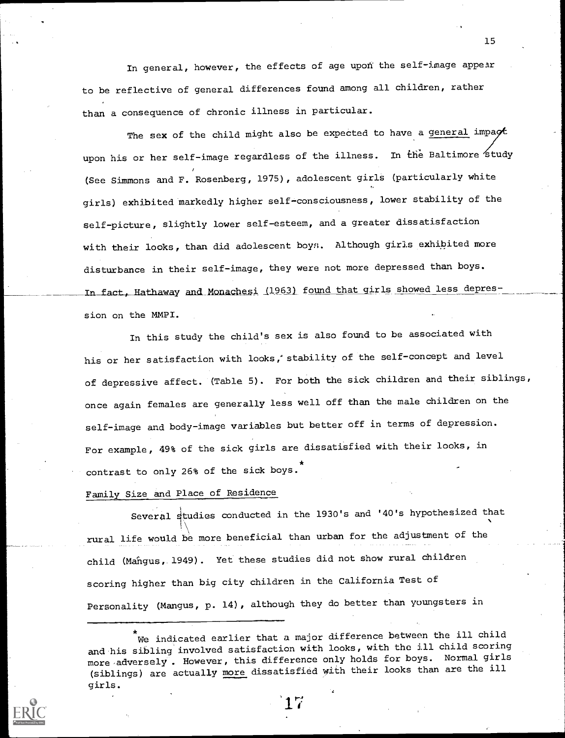In general, however, the effects of age upon the self-image appear to be reflective of general differences found among all children, rather than a consequence of chronic illness in particular.

The sex of the child might also be expected to have a general impact upon his or her self-image regardless of the illness. In the Baltimore study (See Simmons and F. Rosenberg, 1975), adolescent girls (particularly white girls) exhibited markedly higher self-consciousness, lower stability of the self-picture, slightly lower self-esteem, and a greater dissatisfaction with their looks, than did adolescent boys. Although girls exhibited more disturbance in their self-image, they were not more depressed than boys. In fact, Hathaway and Monachesi (1963) found that girls showed less depression on the MMPI.

In this study the child's sex is also found to be associated with his or her satisfaction with looks,' stability of the self-concept and level of depressive affect. (Table 5). For both the sick children and their siblings, once again females are generally less well off than the male children on the self-image and body-image variables but better off in terms of depression. For example, 49% of the sick girls are dissatisfied with their looks, in contrast to only 26% of the sick boys.

# Family Size and Place of Residence

Several studies conducted in the 1930's and '40's hypothesized that rural life would be more beneficial than urban for the adjustment of the child (Mangus, 1949). Yet these studies did not show rural children scoring higher than big city children in the California Test of Personality (Mangus, p. 14), although they do better than youngsters in

We indicated earlier that a major difference between the ill child and his sibling involved satisfaction with looks, with the ill child scoring more adversely. However, this difference only holds for boys. Normal girls (siblings) are actually more dissatisfied with their looks than are the ill girls.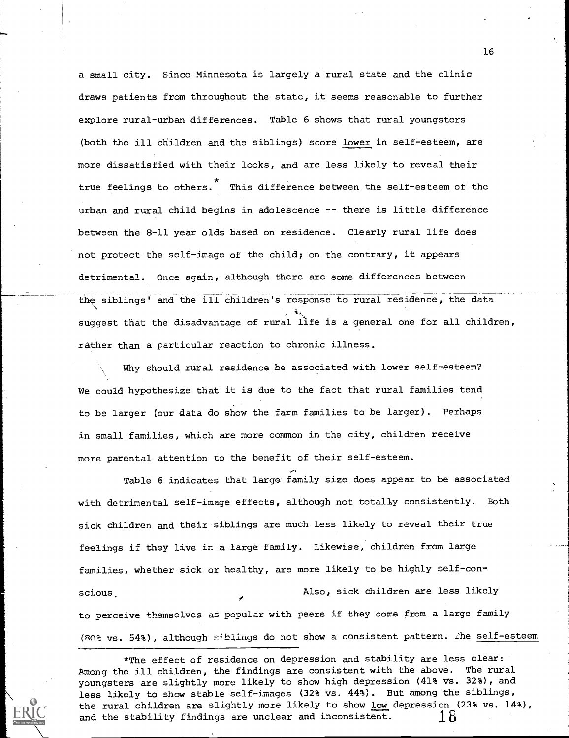a small city. Since Minnesota is largely a rural state and the clinic draws patients from throughout the state, it seems reasonable to further explore rural-urban differences. Table 6 shows that rural youngsters (both the ill children and the siblings) score lower in self-esteem, are more dissatisfied with their looks, and are less likely to reveal their true feelings to others. This difference between the self-esteem of the urban and rural child begins in adolescence -- there is little difference between the 8-11 year olds based on residence. Clearly rural life does not protect the self-image of the child; on the contrary, it appears detrimental. Once again, although there are some differences between the siblings' and the ill children's response to rural residence, the data **પ્રે**∡્રા સા suggest that the disadvantage of rural life is a general one for all children, rather than a particular reaction to chronic illness.

Why should rural residence be associated with lower self-esteem? We could hypothesize that it is due to the fact that rural families tend to be larger (our data do show the farm families to be larger). Perhaps in small families, which are more common in the city, children receive more parental attention to the benefit of their self-esteem.

Table 6 indicates that large family size does appear to be associated with detrimental self-image effects, although not totally consistently. Both sick children and their siblings are much less likely to reveal their true feelings if they live in a large family. Likewise, children from large families, whether sick or healthy, are more likely to be highly self-conscious. Also, sick children are less likely to perceive themselves as popular with peers if they come from a large family (80% vs. 54%), although siblings do not show a consistent pattern. The self-esteem

\*The effect of residence on depression and stability are less clear: Among the ill children, the findings are consistent with the above. The rural youngsters are slightly more likely to show high depression (41% vs. 32%), and less likely to show stable self-images (32% vs. 44%). But among the siblings, the rural children are slightly more likely to show low depression (23% vs. 14%), and the stability findings are unclear and inconsistent.  $\quad\quad\, 18$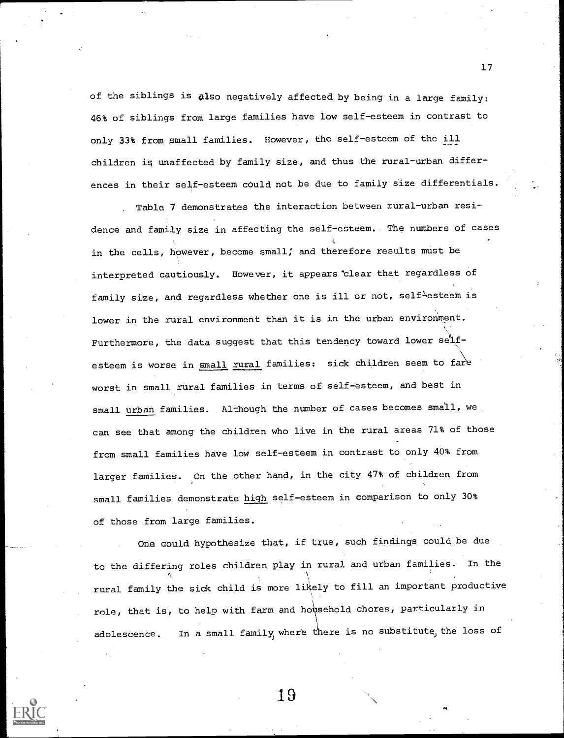of the siblings is Also negatively affected by being in a large family: 46% of siblings from large families have low self-esteem in contrast to only 33% from small families. However, the self-esteem of the ill children is unaffected by family size, and thus the rural-urban differences in their self-esteem could not be due to family size differentials.

Table 7 demonstrates the interaction between rural-urban residence and family size in affecting the self-esteem. The numbers of cases in the cells, however, become small; and therefore results must be interpreted cautiously. However, it appears`clear that regardless of family size, and regardless whether one is ill or not, self $^\lambda$ esteem is lower in the rural environment than it is in the urban environment. Furthermore, the data suggest that this tendency toward lower selfesteem is worse in <u>small rural</u> families: sick children seem to fare worst in small rural families in terms of self-esteem, and best in small urban families. Although the number of cases becomes small, we, can see that among the children who live in the rural areas 71% of those from small families have low self-esteem in contrast to only 40% from larger families. On the other hand, in the city 47% of children from small families demonstrate high self-esteem in comparison to only 30% of those from large families.

One could hypothesize that, if true, such findings could be due to the differing roles children play in rural and urban families. In the rural family the sick child is more likely to fill an important productive role, that is, to help with farm and household chores, particularly in adolescence. In a small family, where there is no substitute, the loss of

19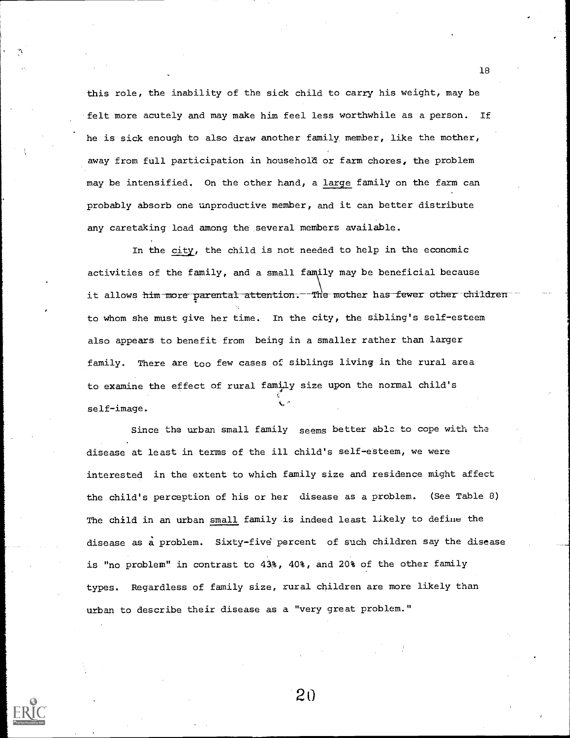this role, the inability of the sick child to carry his weight, may be felt more acutely and may make him feel less worthwhile as a person. If he is sick enough to also draw another family, member, like the mother, away from full participation in household or farm chores, the problem may be intensified. On the other hand, a large family on the farm can probably absorb one unproductive member, and it can better distribute any caretaking load among the several members available.

In the city, the child is not needed to help in the economic activities of the family, and a small family may be beneficial because it allows him more parental attention. The mother has fewer other children to whom she must give her time. In the city, the sibling's self-esteem also appears to benefit from being in a smaller rather than larger family. There are too few cases of siblings living in the rural area to examine the effect of rural family size upon the normal child's self-image.

Since the urban small family seems better able to cope with the disease at least in terms of the ill child's self-etteem, we were interested in the extent to which family size and residence might affect the child's perception of his or her disease as a problem. (See Table 8) The child in an urban small family.is indeed least likely to define the disease as a problem. Sixty-five percent of such children say the disease is "no problem" in contrast to 43%, 40%, and 20% of the other family types. Regardless of family size, rural children are more likely than urban to describe their disease as a "very great problem."

20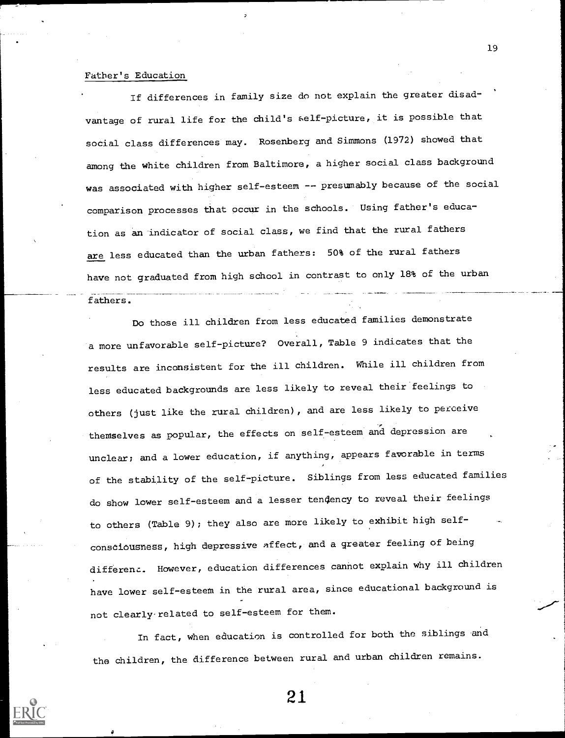# Father's Education

If differences in family size do not explain the greater disadvantage of rural life for the child's self-picture, it is possible that social class differences may. Rosenberg and Simmons (1972) showed that among the white children from Baltimore, a higher social class background was associated with higher self-esteem -- presumably because of the social comparison processes that occur in the schools. Using father's education as an indicator of social class, we find that the rural fathers are less educated than the urban fathers: 50% of the rural fathers have not graduated from high school in contrast to only 18% of the urban

### fathers.

Do those ill children from less educated families demonstrate a more unfavorable self-picture? Overall, Table 9 indicates that the results are inconsistent for the ill children. While ill children from less educated backgrounds are less likely to reveal their feelings to others (just like the rural children), and are less likely to perceive themselves as popular, the effects on self-esteem and depression are unclear; and a lower education, if anything, appears favorable in terms of the stability of the self-picture. Siblings from less educated families do show lower self-esteem and a lesser tendency to reveal their feelings to others (Table 9); they also are more likely to exhibit high selfconsciousness, high depressive affect, and a greater feeling of being different. However, education differences cannot explain why ill children have lower self-esteem in the rural area, since educational background is not clearly. related to self-esteem for them.

In fact, when education is controlled for both the siblings and the children, the difference between rural and urban children remains.



21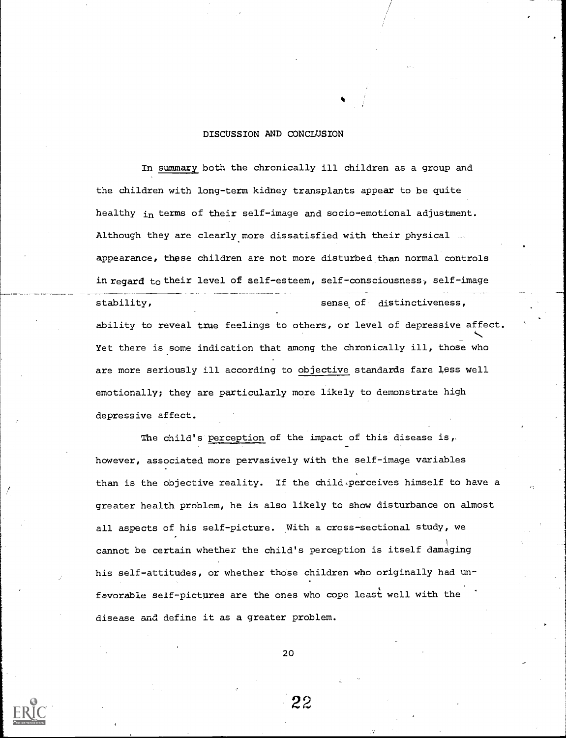### DISCUSSION AND CONCLUSION

In summary both the chronically ill children as a group and the children with long-term kidney transplants appear to be quite healthy in terms of their self-image and socio-emotional adjustment. Although they are clearly more dissatisfied with their physical appearance, these children are not more disturbed than normal controls in regard to their level of self-esteem, self - consciousness, self-image stability, sense of distinctiveness, ability to reveal true feelings to others, or level of depressive affect. Yet there is some indication that among the chronically ill, those who are more seriously ill according to objective standards fare less well emotionally; they are particularly more likely to demonstrate high depressive affect.

The child's perception of the impact of this disease is, however, associated more pervasively with the self-image variables than is the objective reality. If the child perceives himself to have a greater health problem, he is also likely to show disturbance on almost all aspects of his self-picture. With a cross-sectional study, we cannot be certain whether the child's perception is itself damaging his self-attitudes, or whether those children who originally had unfavorable self-pictures are the ones who cope least well with the disease and define it as a greater problem.

20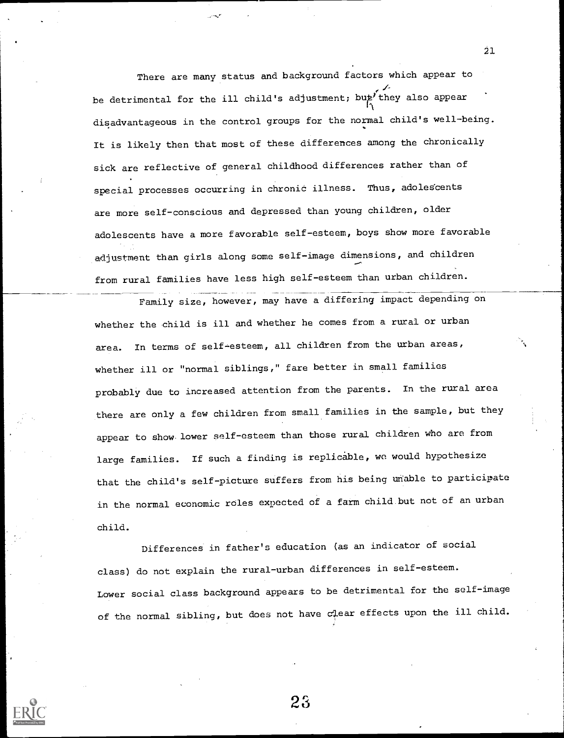There are many status and background factors which appear to be detrimental for the ill child's adjustment; but they also appear disadvantageous in the control groups for the normal child's well-being. It is likely then that most of these differences among the chronically sick are reflective of general childhood differences rather than of special processes occurring in chronic illness. Thus, adolescents are more self-conscious and depressed than young children, older adolescents have a more favorable self-esteem, boys show more favorable adjustment than girls along some self-image dimensions, and children from rural families have less high self-esteem than urban children.

Family size, however, may have a differing impact depending on whether the child is ill and whether he comes from a rural or urban area. In terms of self-esteem, all children from the urban areas, whether ill or "normal siblings," fare better in small families probably due to increased attention from the parents. In the rural area there are only a few children from small families in the sample, but they appear to show. lower self-esteem than those rural children who are from large families. If such a finding is replicable, we would hypothesize that the child's self-picture suffers from his being unable to participate in the normal economic roles expected of a farm child but not of an urban child.

Differences in father's education (as an indicator of social class) do not explain the rural-urban differences in self-esteem. Lower social class background appears to be detrimental for the self-image of the normal sibling, but does not have  $c\downarrow$  ear effects upon the ill child.

23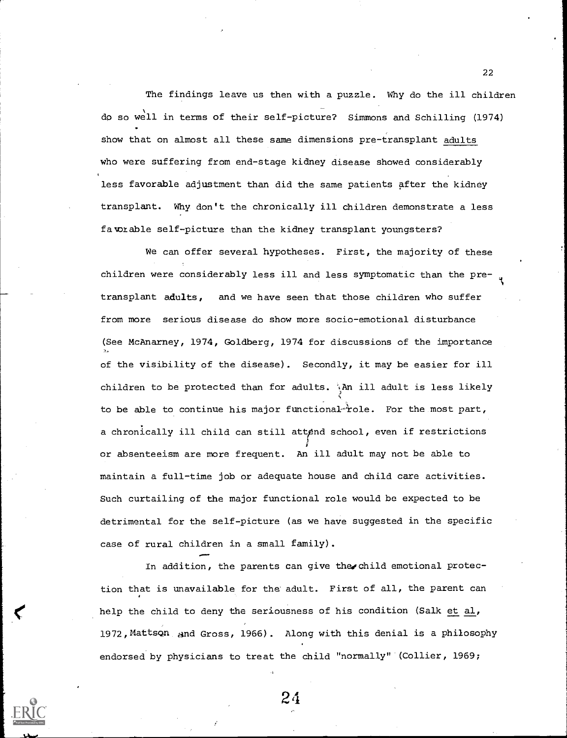The findings leave us then with a puzzle. Why do the ill children dc so well in terms of their self-picture? Simmons and Schilling (1974) show that on almost all these same dimensions pre-transplant adults who were suffering from end-stage kidney disease showed considerably less favorable adjustment than did the same patients after the kidney transplant. Why don't the chronically ill children demonstrate a less favorable self-picture than the kidney transplant youngsters?

We can offer several hypotheses. First, the majority of these children were considerably less ill and less symptomatic than the pretransplant adults, and we have seen that those children who suffer from more serious disease do show more socio-emotional disturbance (See McAnarney, 1974, Goldberg, 1974 for discussions of the importance of the visibility of the disease). Secondly, it may be easier for ill children to be protected than for adults.  $\lambda$ An ill adult is less likely to be able to continue his major functional- $\dot{r}$ ole. For the most part, a chronically ill child can still attend school, even if restrictions or absenteeism are more frequent. An ill adult may not be able to maintain a full-time job or adequate house and child care activities. Such curtailing of the major functional role would be expected to be detrimental for the self-picture (as we have suggested in the specific case of rural children in a small family).

In addition, the parents can give the child emotional protection that is unavailable for the adult. First of all, the parent can help the child to deny the seriousness of his condition (Salk et al, 1972,Mattscan and Gross, 1966). Along with this denial is a philosophy endorsed by physicians to treat the child "normally" (Collier, 1969;

24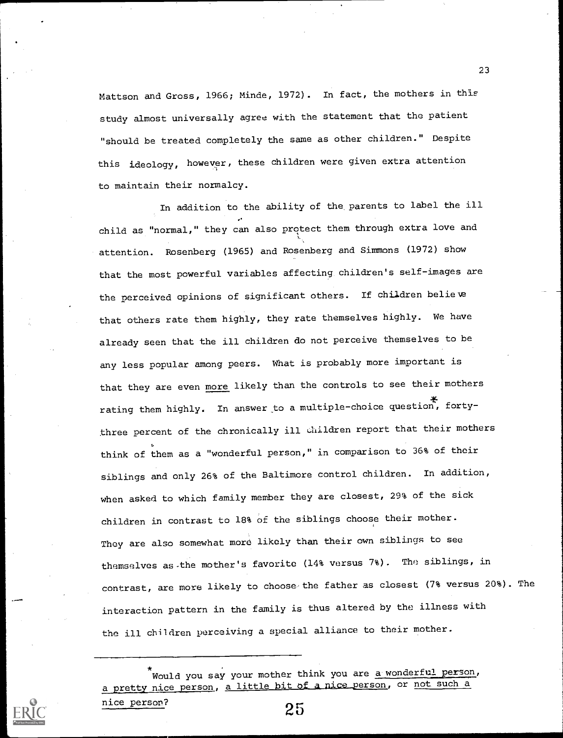Mattson and Gross, 1966; Minde, 1972). In fact, the mothers in this study almost universally agree with the statement that the patient "should be treated completely the same as other children." Despite this ideology, however, these children were given extra attention to maintain their normalcy.

In addition to the ability of the, parents to label the ill child as "normal," they can also protect them through extra love and attention. Rosenberg (1965) and Rosenberg and Simmons (1972) show that the most powerful variables affecting children's self-images are the perceived opinions of significant others. If children believe that others rate them highly, they rate themselves highly. We have already seen that the ill children do not perceive themselves to be any less popular among peers. What is probably more important is that they are even more likely than the controls to see their mothers rating them highly. In answer to a multiple-choice question, fortythree percent of the chronically ill children report that their mothers think of them as a "wonderful person," in comparison to 36% of their siblings and only 26% of the Baltimore control children. In addition, when asked to which family member they are closest, 29% of the sick children in contrast to 18% of the siblings choose their mother. They are also somewhat more likely than their own siblings to see themselves as -the mother's favorite (14% versus 7%). The siblings, in contrast, are more likely to choose the father as closest (7% versus 20%). The interaction pattern in the family is thus altered by the illness with the ill children perceiving a special alliance to their mother.

Would you say your mother think you are a wonderful person, a pretty nice person, a little bit of a nice person, or not such a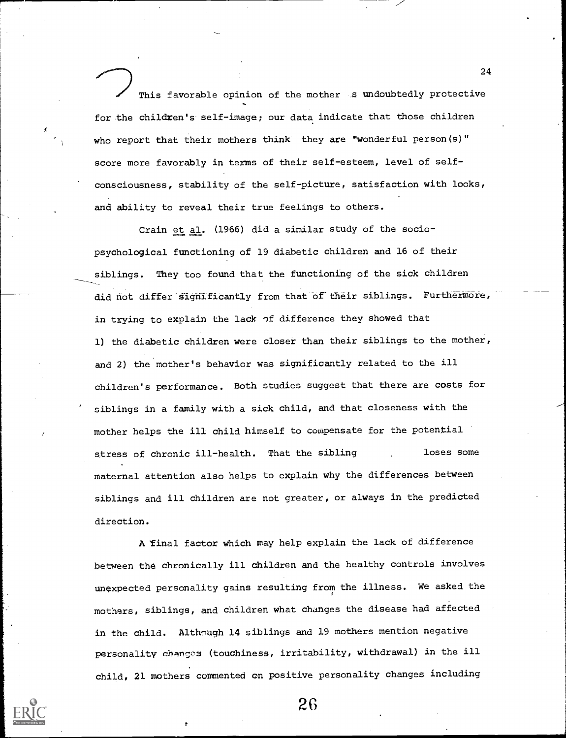This favorable opinion of the mother .s undoubtedly protective for the children's self-image; our data indicate that those children who report that their mothers think they are "wonderful person(s)" score more favorably in terms of their self-esteem, level of selfconsciousness, stability of the self-picture, satisfaction with looks, and ability to reveal their true feelings to others.

Crain et al. (1966) did a similar study of the sociopsychological functioning of 19 diabetic children and 16 of their siblings. They too found that the functioning of the sick children did not differ sighificantly from that of their siblings. Furthermore, in trying to explain the lack of difference they showed that 1) the diabetic children were closer than their siblings to the mother, and 2) the mother's behavior was significantly related to the ill children's performance. Both studies suggest that there are costs for siblings in a family with a sick child, and that closeness with the mother helps the ill child himself to cowpensate for the potential stress of chronic ill-health. That the sibling and loses some maternal attention also helps to explain why the differences between siblings and ill children are not greater, or always in the predicted direction.

A Final factor which may help explain the lack of difference between the chronically ill children and the healthy controls involves unexpected personality gains resulting from the illness. We asked the mothers, siblings, and children what changes the disease had affected in the child. Although 14 siblings and 19 mothers mention negative personality changes (touchiness, irritability, withdrawal) in the ill child, 21 mothers commented on positive personality changes including

26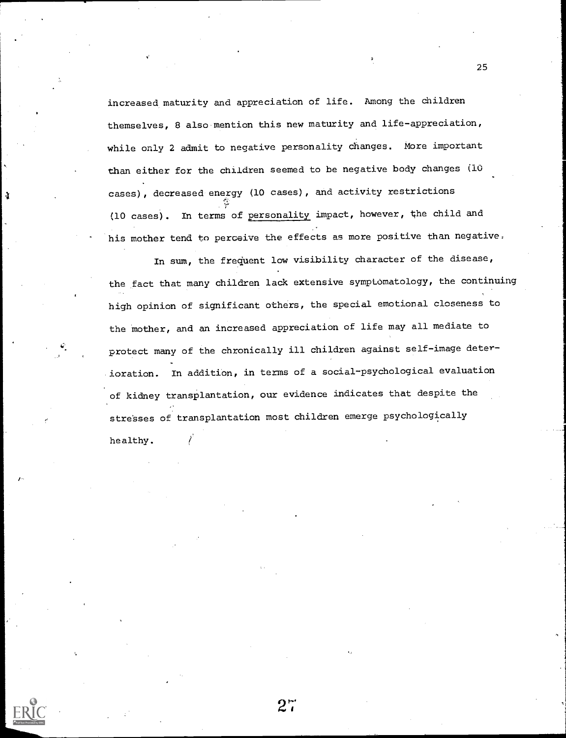increased maturity and appreciation of life. Among the children themselves, 8 also mention this new maturity and life-appreciation, while only 2 admit to negative personality Changes. More important than either for the children seemed to be negative body changes (10 cases), decreased energy (10 cases), and activity restrictions (10 cases). In terms of personality impact, however, the child and his mother tend to perceive the effects as more positive than negative.

In sum, the frequent low visibility character of the disease, the fact that many children lack extensive symptomatology, the continuing high opinion of significant others, the special emotional closeness to the mother, and an increased appreciation of life may all mediate to protect many of the chronically ill children against self-image deterioration. In addition, in terms of a social-psychological evaluation of kidney transplantation, our evidence indicates that despite the stresses of transplantation most children emerge psychologically healthy.

 $2^{\sim}$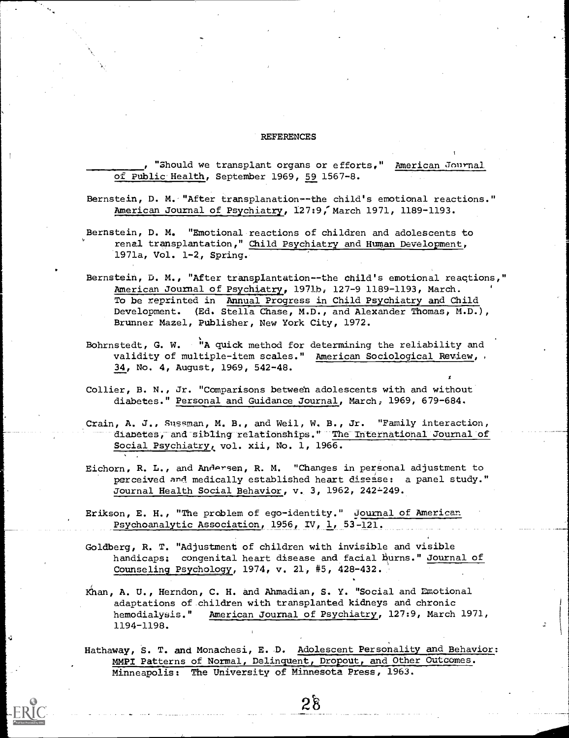### REFERENCES

"Should we transplant organs or efforts," American Journal of Public Health, September 1969, 59 1567-8.

- Bernstein, D. M. "After transplanation--the child's emotional reactions." American Journal of Psychiatry, 127:9, March 1971, 1189-1193.
- Bernstein, D. M. "Emotional reactions of children and adolescents to renal transplantation," Child Psychiatry and Human Development, 1971a, Vol. 1-2, Spring.
- Bernstein, D. M., "After transplantation--the child's emotional reactions," American Journal of Psychiatry, 1971b, 127-9 1189-1193, March. To be reprinted in Annual Progress in Child Psychiatry and Child Development. (Ed. Stella Chase, M.D., and Alexander Thomas, M.D.), Brunner Mazel, Publisher, New York City, 1972.
- Bohrnstedt, G. W. "A quick method for determining the reliability and validity of multiple-item scales." American Sociological Review, 34, No. 4, August, 1969, 542-48.
- Collier, B. N., Jr. "Comparisons between adolescents with and without diabetes." Personal and Guidance Journal, March; 1969, 679-684.
- Crain, A. J., Sussman, M. B., and Weil, W. B., Jr. "Family interaction, diabetes, and sibling relationships." The International Journal of Social Psychiatry, vol. xii, No. 1, 1966.
- Eichorn, R. L., and Andersen, R. M. "Changes in personal adjustment to perceived and medically established heart disease: a panel study." Journal Health Social Behavior, v. 3, 1962, 242-249.
- Erikson, E. H., "The problem of ego-identity." Journal of American Psychoanalytic Association, 1956, IV, 1, 53-121.
- Goldberg, R. T. "Adjustment of children with invisible and visible handicaps: congenital heart disease and facial burns." Journal of Counseling Psychology, 1974, v. 21, #5, 428-432.
- Khan, A. U., Herndon, C. H. and Ahmadian, S. Y. "Social and Emotional adaptations of.children with transplanted kidneys and chronic hemodialysis." American Journal of Psychiatry, 127:9, March 1971, 1194-1198.
- Hathaway, S. T. and Monachesi, E. D. Adolescent Personality and Behavior: MMPI Patterns of Normal, Delinquent, Dropout, and Other Outcomes. Minneapolis: The University of Minnesota Press, 1963.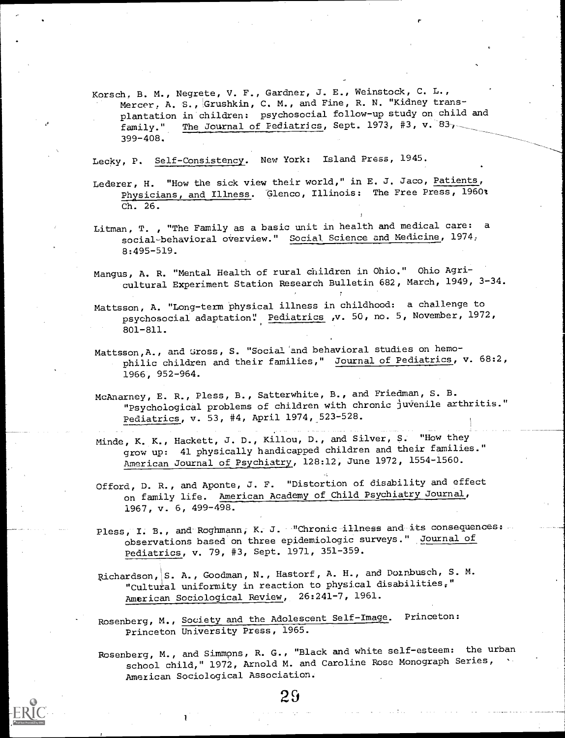Korsch, B. M., Negrete, V. F., Gardner, J. E., Weinstock, C. L., Mercer, A. S., Grushkin, C. M., and Fine, R. N. "Kidney transplantation in children: psychosocial follow-up study on child and family." The Journal of Pediatrics, Sept. 1973, #3, v. 83, The Journal of Pediatrics, Sept. 1973, #3, v.  $83$ <sub>7</sub> 399-408.

r

Lecky, P. Self-Consistency. New York: Island Press, 1945.

- Lederer, H. "How the sick view their world," in E. J. Jaco, Patients, Physicians, and Illness. Glenco, Illinois: The Free Press, 1960: Ch. 26.
- Litman, T. , "The Family as a basic unit in health and medical care: <sup>a</sup> social-behavioral overview." Social Science and Medicine, 1974, 8:495-519.
- Mangus, A. R. "Mental Health of rural children in Ohio." Ohio Agricultural Experiment Station Research Bulletin 682, March, 1949, 3-34.
- Mattsson, A. "Long-term physical illness in childhood: a challenge to psychosocial adaptation': Pediatrics ,v. 50, no. 5, November, 1972, 801-811.
- Mattsson, A., and Gross, S. "Social and behavioral studies on hemophilic children and their families," Journal of Pediatrics, v. 68:2, 1966, 952-964.
- McAnarney, E. R., Pless, B., Satterwhite, B., and Friedman, S. B. "Psychological problems of children with chronic juvenile arthritis." Pediatrics, v. 53, #4, April 1974,523-528.
- Minde, K. K., Hackett, J. D., Killou, D., and Silver, S. "How they grow up: 41 physically handicapped children and their families." American Journal of Psychiatry, 128:12, June 1972, 1554-1560.
- Of ford, D. R., and Aponte, J. F. "Distortion of disability and effect on family life. American Academy of Child Psychiatry Journal, 1967, v. 6, 499-498.
- Pless, I. B., and Roghmann, K. J. "Chronic illness and its consequences: observations based on three epidemiologic surveys." ,Journal of Pediatrics, v. 79, #3, Sept. 1971, 351-359.
- Richardson, S. A., Goodman, N., Hastorf, A. H., and Dornbusch, S. M. "Cultural uniformity in reaction to physical disabilities," American Sociological Review, 26:241-7, 1961.
- Rosenberg, M., Society and the Adolescent Self-Image. Princeton: Princeton University Press, 1965.
- Rosenberg, M., and Simmons, R. G., "Black and white self-esteem: the urban school child," 1972, Arnold M. and Caroline Rose Monograph Series, American Sociological Association.

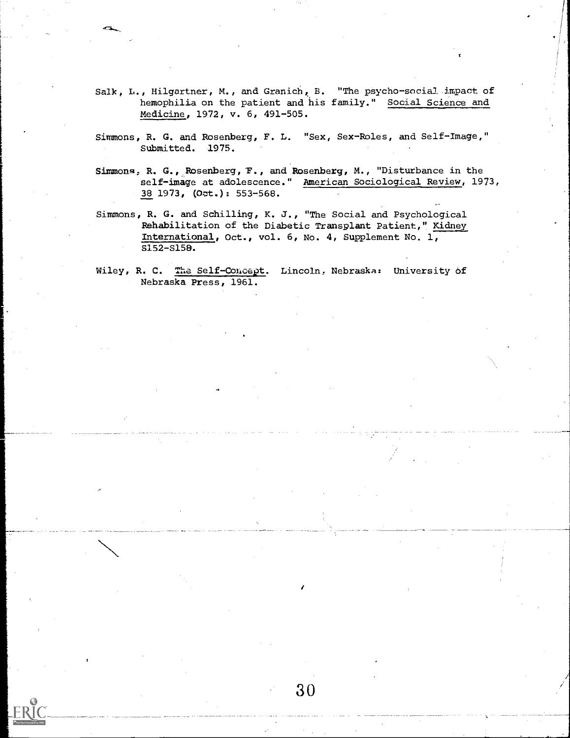- Salk, L., Hilgartner, M., and Granich, B. "The psycho-social impact of hemophilia on the patient and his family." Social Science and Medicine, 1972, v. 6, 491-505.
- Simmons, R. G. and Rosenberg, F. L. "Sex, Sex-Roles, and Self-Image," Submitted. 1975.
- Simmons, R. G., Rosenberg, T., and Rosenberg, M., "Disturbance in the self-image at adolescence." American Sociological Review, 1973, 38 1973, (Oct.): 553-568.
- Simmons, R. G. and Schilling, K. J., "The Social and Psychological Rehabilitation of the Diabetic Transplant Patient," Kidney International, Oct., vol. 6, No. 4, Supplement No. 1, S152-S15B.
- Wiley, R. C. The Self-Concept. Lincoln, Nebraska: University of Nebraska Press, 1961.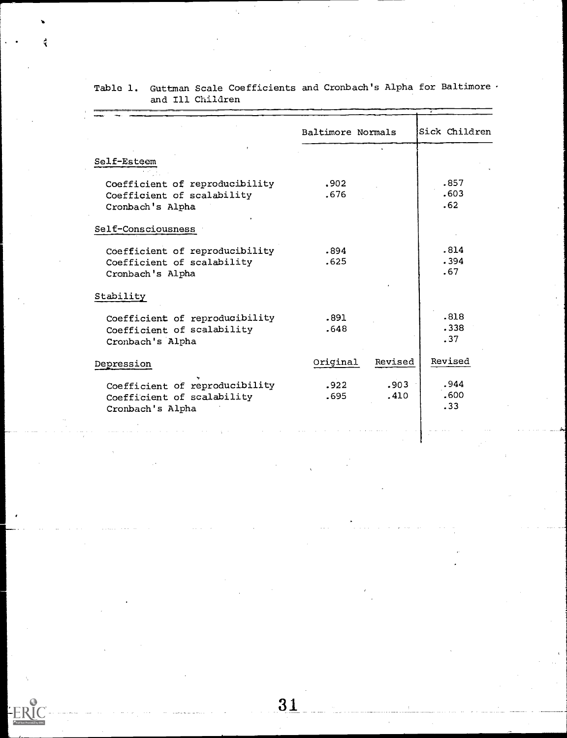|                                | Baltimore Normals |         | Sick Children |
|--------------------------------|-------------------|---------|---------------|
| Self-Esteem                    |                   |         |               |
| Coefficient of reproducibility | .902              |         | .857          |
| Coefficient of scalability     | .676              |         | .603          |
| Cronbach's Alpha               |                   |         | .62           |
| Self-Consciousness             |                   |         |               |
| Coefficient of reproducibility | .894              |         | .814          |
| Coefficient of scalability     | .625              |         | .394          |
| Cronbach's Alpha               |                   |         | .67           |
| Stability                      |                   |         |               |
| Coefficient of reproducibility | .891              |         | .818          |
| Coefficient of scalability     | .648              |         | .338          |
| Cronbach's Alpha               |                   |         | .37           |
| Depression                     | Original          | Revised | Revised       |
| Coefficient of reproducibility | .922              | .903    | .944          |
| Coefficient of scalability     | .695              | .410    | .600          |
| Cronbach's Alpha               |                   |         | .33           |

Table 1. Guttman Scale Coefficients and Cronbach's Alpha for Baltimore and Ill Children

ti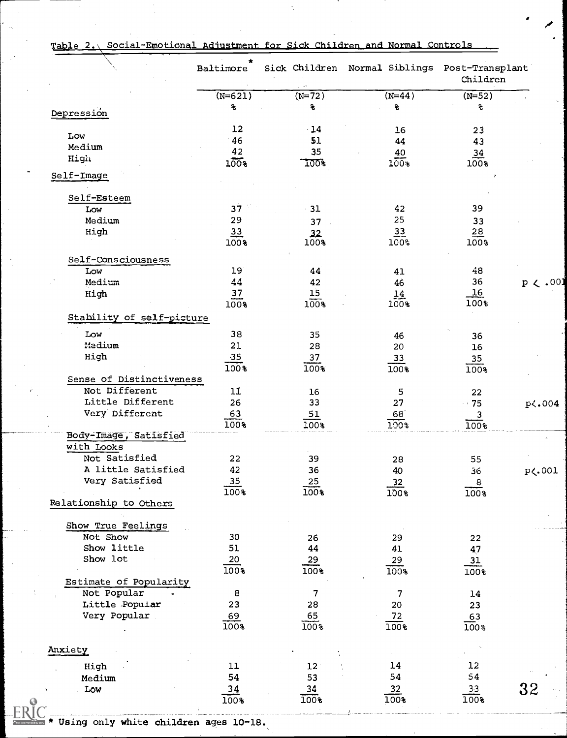|  | Table 2.\ Social-Emotional Adjustment for Sick Children and Normal Controls |  |
|--|-----------------------------------------------------------------------------|--|
|  |                                                                             |  |

 $\Delta_{\rm c}$ 

|                           | *<br>Baltimore  |                         | Sick Children Normal Siblings Post-Transplant | Children         |              |
|---------------------------|-----------------|-------------------------|-----------------------------------------------|------------------|--------------|
|                           | $(N=621)$       | $(N=72)$                | $(N=44)$                                      | $(N=52)$         |              |
|                           | £.              | £,                      | g                                             | શ                |              |
| Depression                |                 |                         |                                               |                  |              |
| Low                       | 12              | $\cdot$ 14              | 16                                            | 23               |              |
| Medium                    | 46              | 51                      | 44                                            | 43               |              |
|                           | 42              | 35                      | 40                                            | 34               |              |
| High                      | $100*$          | 100%                    | $100*$                                        | $100*$           |              |
| Self-Image                |                 |                         |                                               |                  |              |
| Self-Esteem               |                 |                         |                                               |                  |              |
| Low                       | 37              | 31                      | 42                                            | 39               |              |
| Medium                    | 29              | 37                      | 25                                            | 33               |              |
| High                      | 33              | 32                      | $\overline{33}$                               | 28               |              |
|                           | 100%            | 100%                    | 100%                                          | 100%             |              |
| Self-Consciousness        |                 |                         |                                               |                  |              |
| Low                       | 19 <sup>°</sup> | 44                      | 41                                            | 48               |              |
| Medium                    | 44              | 42                      | 46                                            | 36               | $p \lt .001$ |
| High                      | 37<br>100%      | 15<br>$100*$            | 14<br>100%                                    | 16<br>100%       |              |
| Stability of self-picture |                 |                         |                                               |                  |              |
| Low                       | 38              | 35                      | 46                                            | 36               |              |
| Medium                    | 21              | 28                      | 20                                            | 16               |              |
| High                      | $-35$           | 37                      | 33                                            | 35               |              |
|                           | 100%            | 100%                    | 100%                                          | 100%             |              |
| Sense of Distinctiveness  |                 |                         |                                               |                  |              |
| Not Different             | 11              | 16                      | 5                                             | 22               |              |
| Little Different          | 26              | 33                      | 27                                            | $\rightarrow$ 75 | p<.004       |
| Very Different            | 63              | 51                      | 68 <sup>7</sup>                               | 3                |              |
|                           | 100%            | 100%                    | <b>100%</b>                                   | 100%             |              |
| Body-Image, Satisfied     |                 |                         |                                               |                  |              |
| with Looks                |                 |                         |                                               |                  |              |
| Not Satisfied             | 22              | 39                      | 28                                            | 55               |              |
| A little Satisfied        | 42              | 36                      | 40                                            | 36               | p<.001       |
| Very Satisfied            | <u>35</u>       | $\stackrel{25}{\equiv}$ | $\frac{32}{1}$                                | $\overline{8}$   |              |
|                           | 100%            | 100%                    | $100*$                                        | $\overline{100}$ |              |
| Relationship to Others    |                 |                         |                                               |                  |              |
| Show True Feelings        |                 |                         |                                               |                  |              |
| Not Show                  | 30              | 26                      | 29                                            | 22               |              |
| Show little               | 51              | 44                      | 41                                            | 47               |              |
| Show lot                  | 20              | 29                      | 29                                            | $\overline{31}$  |              |
|                           | 100%            | 100%                    | 100%                                          | 100%             |              |
| Estimate of Popularity    |                 |                         |                                               |                  |              |
| Not Popular               | 8               | 7                       | 7                                             | 14               |              |
| Little Popular            | 23              | 28                      | 20                                            | 23               |              |
| Very Popular              | 69              | 65                      | $\frac{72}{ }$                                | 63               |              |
|                           | 100%            | 100%                    | 100%                                          | 100 <sub>8</sub> |              |
| Anxiety                   |                 |                         |                                               |                  |              |
|                           |                 |                         |                                               |                  |              |
| High                      | 11              | 12                      | 14                                            | $12\,$           |              |
| Medium                    | 54              | 53                      | 54                                            | 54               |              |
| Low                       | <u>34</u>       | $\frac{34}{5}$          | $\frac{32}{5}$                                | 33               | 32           |
|                           | 100%            | 100%                    | 100%                                          | 100%             |              |

\* Using only white children ages 10-18.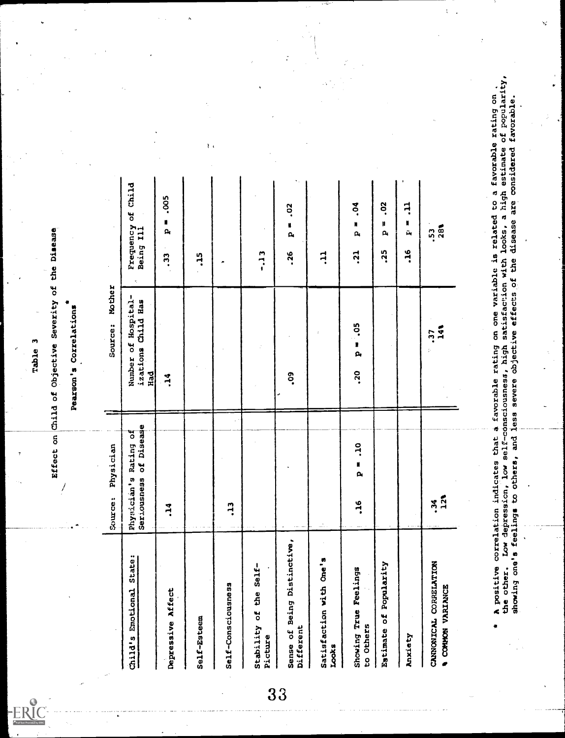

Table 3<br>Effect on Child of Objective Severity of the Disease<br>Pearson's Correlations

 $\overline{\phantom{a}}$ 

|                                                    | Physician<br>Cource:                                                                                                                | Mother<br>Source:                                                                   |                                                            |                                                                      |
|----------------------------------------------------|-------------------------------------------------------------------------------------------------------------------------------------|-------------------------------------------------------------------------------------|------------------------------------------------------------|----------------------------------------------------------------------|
| State:<br>Emotional<br>Child's                     | of Disease<br>đ<br>Rating<br>Seriousness<br>Physician's                                                                             | Number of Hospital-<br>izations Child Has<br>Had                                    | Child<br>ð<br>Frequency<br>Being Ill<br>x,                 |                                                                      |
| Depressive Affect                                  | 14                                                                                                                                  | $\ddot{ }$                                                                          | .005<br>N<br>$\mathbf{a}$<br>$\ddot{3}$                    |                                                                      |
| Self-Esteem                                        |                                                                                                                                     |                                                                                     | $\frac{15}{1}$                                             | れい                                                                   |
| Self-Consciousness                                 | $\ddot{ }$                                                                                                                          |                                                                                     |                                                            |                                                                      |
| Stability of the Self-<br>$\bullet$<br>Picture     |                                                                                                                                     |                                                                                     | $\frac{1}{2}$                                              |                                                                      |
| Sense of Being Distinctive,<br>Different           |                                                                                                                                     | °SO                                                                                 | $\ddot{\circ}$<br>N<br>$\mathbf{a}$<br>.26                 |                                                                      |
| Satisfaction with One's<br><b>Looks</b>            | Ш,                                                                                                                                  |                                                                                     | FF.                                                        |                                                                      |
| Showing True Feelings<br>to Others                 | ot.<br>N<br>$\mathbf{\hat{p}}$<br>$-16$                                                                                             | °S<br>$\frac{1}{\alpha}$<br><b>PZ</b>                                               | 50 <sub>1</sub><br>N<br>$\mathbf{p}_i$<br>$\overline{.}21$ |                                                                      |
| Popularity<br>u<br>o<br>Eatimate                   |                                                                                                                                     |                                                                                     | So.<br>ħ<br>Q,<br>.25                                      |                                                                      |
| Anxiety                                            |                                                                                                                                     |                                                                                     | Ę<br>N<br>$\tilde{\mathbf{u}}_i$<br>$-16$                  |                                                                      |
| CANNONICAL CORRELATION<br><b>A COMMON VARIANCE</b> | $\frac{1}{2}$<br>ž                                                                                                                  | $rac{2}{4}$<br>.37                                                                  | 28%<br>S.                                                  |                                                                      |
|                                                    |                                                                                                                                     |                                                                                     |                                                            |                                                                      |
| the other.<br>۰<br>$\sqrt{3}$                      | Low depression, low self-consciousness, high<br>showing one's feelings to others, and less<br>A positive correlation indicates that | a favorable rating on one variable is related to<br>severe objective effects of the | are considered<br>disease<br>satisfaction with looks,      | a high estimate of popularity<br>a favorable rating on<br>favorable. |
|                                                    |                                                                                                                                     |                                                                                     |                                                            |                                                                      |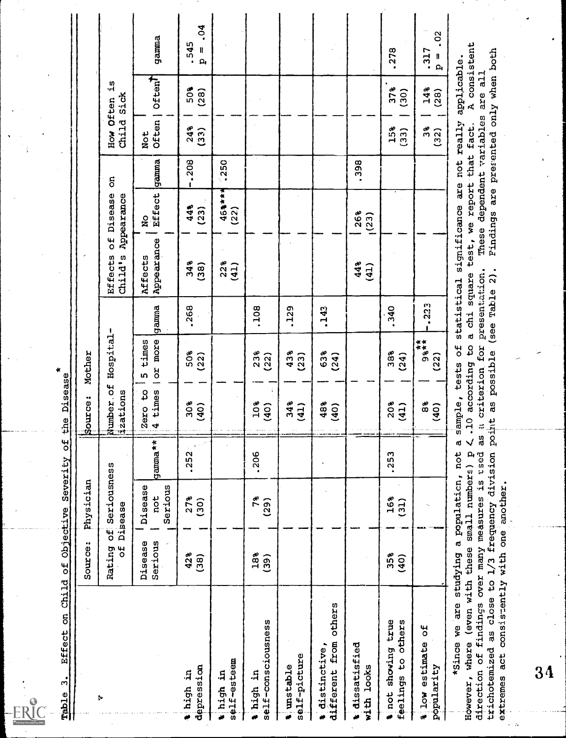$R_1^{\circ}$ 

| Child<br>$\overline{\mathbf{5}}$<br>Effect<br>$\bullet$<br>m<br>Thale                                                                                                     | $\overline{5}$                    | Severity<br>Objective                         | $\overline{\mathbf{c}}$         | Disease<br>the                                                               | ×                                                                 |                                             |                                                                |                         |                    |                                          |                                                                      |                                             |
|---------------------------------------------------------------------------------------------------------------------------------------------------------------------------|-----------------------------------|-----------------------------------------------|---------------------------------|------------------------------------------------------------------------------|-------------------------------------------------------------------|---------------------------------------------|----------------------------------------------------------------|-------------------------|--------------------|------------------------------------------|----------------------------------------------------------------------|---------------------------------------------|
|                                                                                                                                                                           | Source:                           | Physician                                     |                                 | sparce:<br>U)                                                                | Mother                                                            |                                             |                                                                |                         |                    |                                          |                                                                      |                                             |
| þ                                                                                                                                                                         | $\overline{\mathbf{d}}$<br>Rating | Seriousness<br>Disease<br>tij                 |                                 | umber.of<br>zations<br>2                                                     | Hospital                                                          |                                             | $\frac{4}{\pi}$<br><b>Effects</b><br>Child's                   | Disease<br>Appearance   | ទី                 | Child<br>HOW                             | ς.<br><b>Sick</b><br>Often                                           |                                             |
|                                                                                                                                                                           | Serious<br>Disease                | Disease<br>Serious<br>not                     | gamma**                         | ٩<br>4 times<br>Zero                                                         | or more<br>times<br>m                                             | gamna                                       | Appearance<br>Affects                                          | Effect<br>$\frac{1}{2}$ | gamma              | Often<br>Not                             | <b>Often1</b>                                                        | gamma                                       |
| depression<br>thigh in                                                                                                                                                    | 42%<br>(38)                       | 278<br>(30)                                   | .252                            | 30%<br>(40)                                                                  | 50%<br>(22)                                                       | .268                                        | 34%<br>(38)                                                    | 44%<br>(23)             | $-208$             | 24%<br>$\begin{array}{c} 33 \end{array}$ | 50%<br>(28)                                                          | .04<br>$-545$<br>H<br>$\mathbf{a}$          |
| self-esteem<br>t high in                                                                                                                                                  |                                   |                                               |                                 |                                                                              |                                                                   |                                             | 22 <sub>8</sub><br>(41)                                        | $463***$<br>(22)        | 250                |                                          |                                                                      |                                             |
| self-consciousness<br>thigh in                                                                                                                                            | 18%<br>(39)                       | 7%<br>(29)                                    | .206                            | 10%<br>(40)                                                                  | 23%<br>(22)                                                       | .108                                        |                                                                |                         |                    |                                          |                                                                      |                                             |
| self-picture<br>timstable                                                                                                                                                 |                                   |                                               |                                 | 34%<br>(41)                                                                  | 43%<br>(23)                                                       | .129                                        |                                                                |                         |                    |                                          |                                                                      |                                             |
| others<br>from<br>distinctive,<br>different<br>ò                                                                                                                          |                                   |                                               |                                 | 48%<br>(40)                                                                  | 63%<br>(24)                                                       | $-143$                                      |                                                                |                         |                    |                                          |                                                                      |                                             |
| t dissatisfied<br>with looks                                                                                                                                              |                                   |                                               |                                 |                                                                              |                                                                   |                                             | 44%<br>(41)                                                    | 26%<br>(23)             | .398               |                                          |                                                                      |                                             |
| true<br>feelings to others<br>showing<br>sinot                                                                                                                            | 35%<br>(40)                       | 16%<br>(31)                                   | .253                            | 20%<br>(41)                                                                  | 38%<br>(24)                                                       | .340                                        |                                                                |                         |                    | 15%<br>$\overline{33}$                   | 37 <sub>8</sub><br>(30)                                              | .278                                        |
| ۴b<br>% low estimate<br>popularity                                                                                                                                        |                                   |                                               |                                 | 8\$<br>(40)                                                                  | $98+$<br>(22)                                                     | .223                                        |                                                                |                         |                    | as<br>C<br>(32)                          | 14 <sup>8</sup><br>(28)                                              | $\ddot{\circ}$<br>.317<br>Ħ<br>$\mathbf{a}$ |
| trichotemized as close to 1/3 frequency division<br>extremes act consistently with one<br>(even with these<br>findings<br>*Since we are<br>However, where<br>direction of | over many measures<br>studying    | small numbers) p<br>a population,<br>another. | 3S<br>√<br>۵Ó<br>is tsed<br>not | according<br>a criterion<br>ample,<br>as<br>$\frac{1}{2}$<br>point<br>m<br>٠ | (see<br>d<br>β,<br>for<br>$\frac{4}{\sigma}$<br>possible<br>tests | presentation<br>statistical<br>Table<br>chi | significance<br>test, we<br>These<br>$\frac{2}{2}$ .<br>square | are<br>are<br>Findings  | report that<br>not | dependent variables<br>really<br>fact.   | presented only when both<br>applicable.<br>are all<br>$\mathbf{a}_i$ | consistent                                  |
| $\bf{34}$                                                                                                                                                                 |                                   |                                               |                                 |                                                                              |                                                                   |                                             |                                                                |                         |                    |                                          |                                                                      |                                             |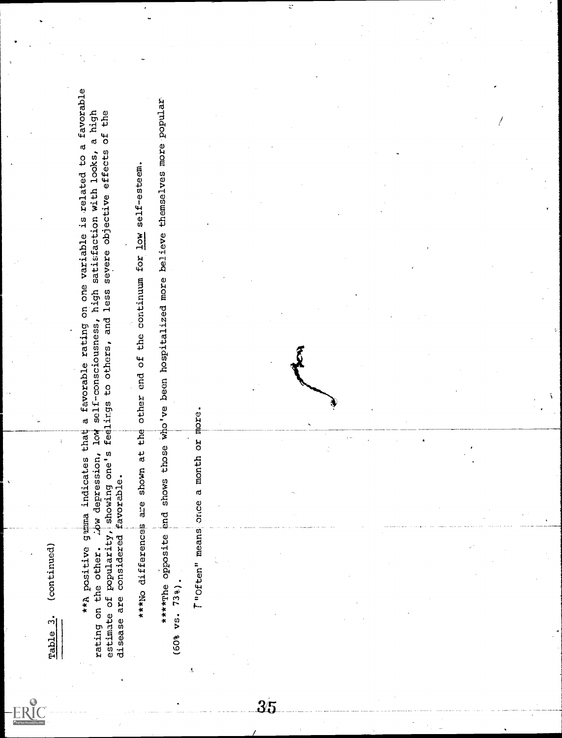imble ."<br>
\*\*A positive grams indicates that a fevorable rating on one wuriable is related to a favorable<br>rating on the other: ... Aw depression, low self-consciousness, high satisfaction with looks, a high<br>diesase are cons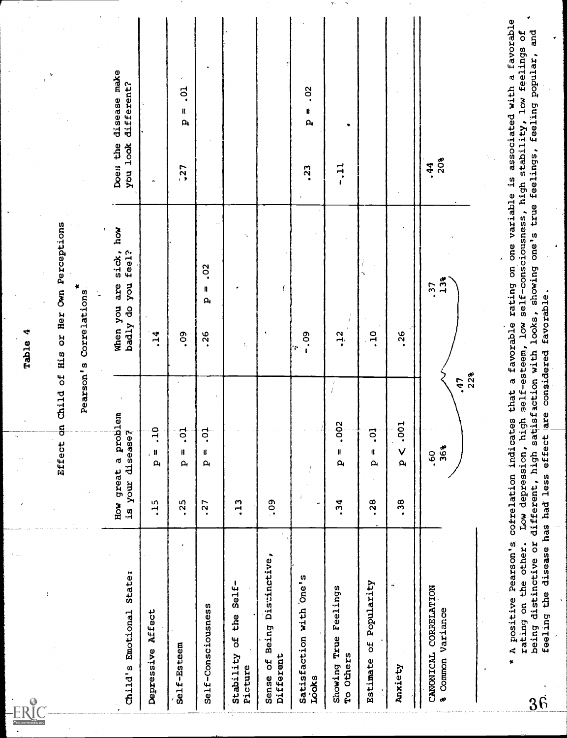| Effect                                               | on Child of His or Her Own Perceptions                        |                                                                                                                                                         |
|------------------------------------------------------|---------------------------------------------------------------|---------------------------------------------------------------------------------------------------------------------------------------------------------|
|                                                      |                                                               |                                                                                                                                                         |
|                                                      | Pearson's Correlations                                        |                                                                                                                                                         |
|                                                      |                                                               |                                                                                                                                                         |
| a problem<br>disease?<br>How great<br>your           | how<br>sick,<br>feel?<br>you<br>are<br>When you<br>g<br>badly | disease make<br>different?<br>you look<br>Does the                                                                                                      |
| ar.<br>$_{\rm c}$ H<br>$\mathbf{a}_i$                | <b>14</b>                                                     | .,                                                                                                                                                      |
| $\ddot{c}$ .<br>B<br>$\mathbf{a}$                    | <b>eo</b>                                                     | $\sim$<br>$\ddot{\circ}$<br>n<br>$\mathbf{a}$<br>$-27$                                                                                                  |
| .o.<br>11<br>$\mathbf{a}$                            | $\frac{2}{3}$<br>H<br>$\mathbf{a}$<br>.26                     |                                                                                                                                                         |
|                                                      | h,<br>τ,                                                      |                                                                                                                                                         |
|                                                      | Í                                                             |                                                                                                                                                         |
| í                                                    | $-0.09$<br>÷                                                  | $\ddot{\circ}$<br>ll<br>$\mathbf{a}_i$<br>.23                                                                                                           |
| ΣÎ<br>ိဝံ့<br>$\pmb{\mathfrak{m}}$<br>$\mathbf{a}_i$ | $-12$                                                         | ٠<br>$-11$                                                                                                                                              |
| <b>p</b> .<br>Ħ<br>$\mathbf{a}$                      | ÷,<br>.10                                                     |                                                                                                                                                         |
| .001<br>$\checkmark$<br>$\mathbf{a}$                 | .26                                                           |                                                                                                                                                         |
| .47<br>36%<br>.60                                    | 13%<br>-37                                                    | 20%<br>.44                                                                                                                                              |
| cofrelation indicates that<br>depression, high       |                                                               | ٠<br>a favorable rating on one variable is associated with a favorable<br>and<br>$\overline{5}$<br>low self-consciousness, high stability, low feelings |
| are<br>effect<br>feeling the disease has had less    | favorable.                                                    |                                                                                                                                                         |
|                                                      | 22%                                                           | distinctive or different, high satisfaction with looks, showing one's true feelings, feeling popular,<br>self-esteem,<br>considered                     |

 $\mathbf{Y}$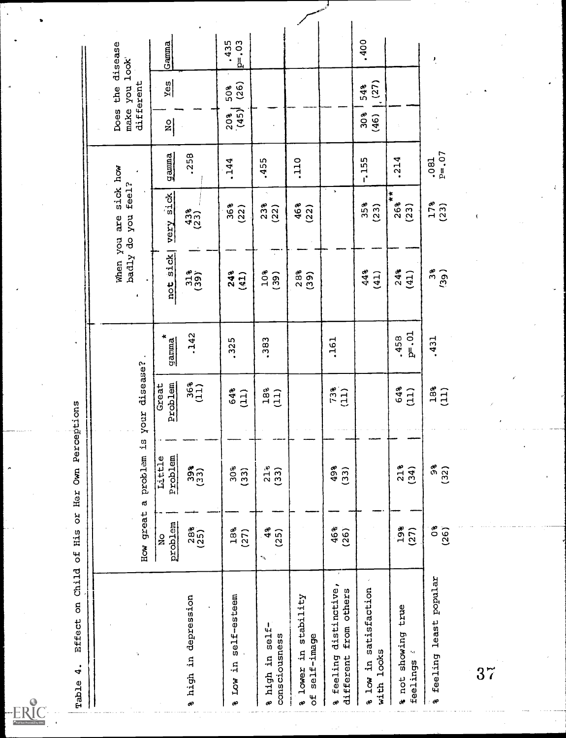**မှ**<br>၂(

| Child of<br>Effect on<br>٠<br>4<br>Table                      | R<br>R<br>H15                                         | Her Own Perceptions        |                     |                   |                                    |                              |                    |                     |                                |                  |
|---------------------------------------------------------------|-------------------------------------------------------|----------------------------|---------------------|-------------------|------------------------------------|------------------------------|--------------------|---------------------|--------------------------------|------------------|
|                                                               |                                                       |                            |                     |                   |                                    |                              |                    |                     |                                |                  |
|                                                               | How great                                             | $\ddot{1}$<br>problem<br>d | your disease?       |                   | badly do<br>When you<br>ı          | sick how<br>you feel?<br>are |                    | different<br>Does   | the disease<br>make you look   |                  |
|                                                               | metdord<br>$\frac{0}{2}$                              | Problem<br>Little          | Problem<br>Great    | ×<br>gamma        | sick<br>$\frac{1}{2}$              | sick<br>very                 | gamma              | $\frac{1}{2}$       | $rac{y_{\text{es}}}{\sqrt{2}}$ | Gamna            |
| a high in depression                                          | $288$<br>(25)                                         | 393)                       | 36 <sub>*</sub>     | .142              | 3139                               | $433$<br>(23)                | .258               |                     |                                |                  |
| self-esteem<br>Low in<br>æ                                    | 18%<br>(27)                                           | 30%<br>(33)                | 64%<br>(11)         | .325              | 24%<br>(41)                        | 36%<br>(22)                  | .144               | $\frac{20\%}{(45)}$ | (26)<br>50%                    | .435<br>$ p=.03$ |
| self-<br>consciousness<br>a high in                           | 4 <sup>o</sup><br>(25)<br>$\mathcal{F}_{\mathcal{F}}$ | $21*$<br>(33)              | $18\degree$<br>(11) | .383              | $\mathcal{L}^{\pm}$<br>10%<br>(39) | $23%$<br>(22)                | .455               |                     |                                |                  |
| stability<br>self-image<br>a.<br>lower<br>$\overline{5}$<br>æ |                                                       |                            |                     |                   | $28$ <sup>2</sup><br>(39)          | 46%<br>(22)                  | .110               |                     |                                |                  |
| distinctive,<br>from others<br>feeling<br>different<br>æ      | 46%<br>(26)                                           | 49%<br>(33)                | $73%$<br>(11)       | .161              |                                    |                              |                    |                     |                                |                  |
| % low in satisfaction<br>with looks                           |                                                       |                            |                     |                   | 448<br>(41)                        | 35%<br>(23)                  | $-155$             | 30%<br>(46)         | (27)<br>54%                    | .400             |
| true<br>a not showing<br>$\mathbf{r}^{\prime}$<br>feelings    | 19%<br>(27)                                           | 21%<br>(34)                | 64%<br>(11)         | $P = .01$<br>.458 | 24%<br>(41)                        | $\ast$<br>26%<br>(23)        | .214               |                     |                                |                  |
| least popular<br>feeling<br>æ                                 | ô.<br>(26)                                            | 9g<br>(32)                 | $18$<br>(11)        | .431              | 3 <sub>8</sub><br>(39)             | $178$<br>(23)                | $P = 0.07$<br>.081 |                     |                                | $\cdot$          |
| 37                                                            |                                                       |                            |                     |                   |                                    | ţ                            |                    |                     |                                |                  |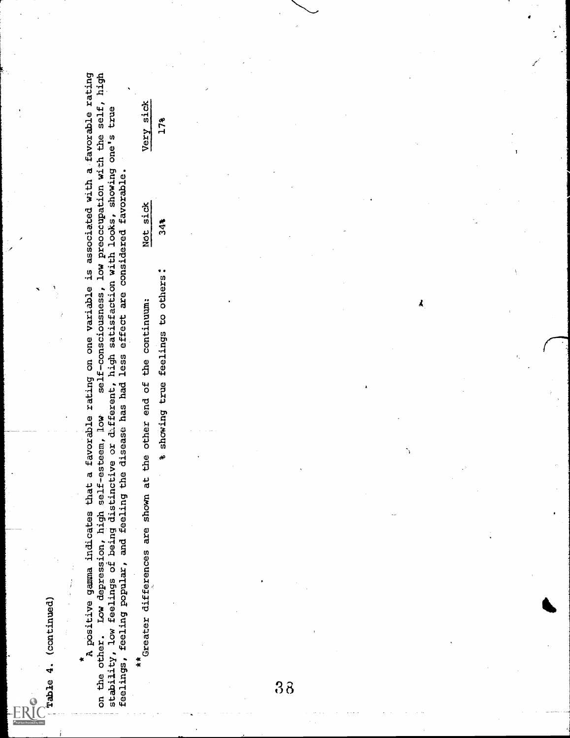rable 4. (continued)<br>he besitive gamma indicates that a favorable rating on one variable is associated with a favorable rating<br>on the owner gamma indicates that a favorable rating on one variable is associated with a favor

 $\lambda$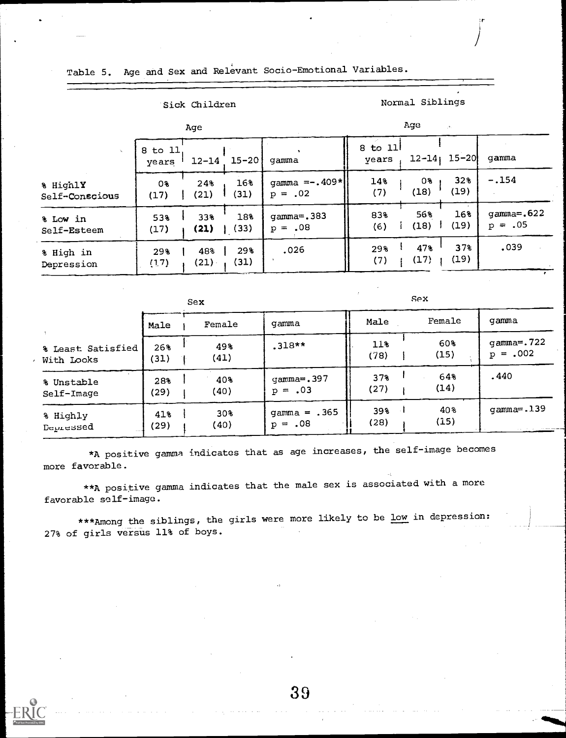|                            |                  | Age         |             |                              |                  | Age         | $\mathcal{D}_\mathrm{A}$ |                         |
|----------------------------|------------------|-------------|-------------|------------------------------|------------------|-------------|--------------------------|-------------------------|
|                            | 8 to 11<br>years | $12 - 14$   | $15 - 20$   | qamma                        | 8 to 11<br>vears |             | $12 - 14$ ; $15 - 20$    | qamma                   |
| % HighlY<br>Self-Conscious | 0%<br>(17)       | 248<br>(21) | 16%<br>(31) | gamma $=-.409*$<br>$p = .02$ | 14%<br>(7)       | 0%<br>(18)  | 32%<br>(19)              | $-.154$                 |
| % Low in<br>Self-Esteem    | 53%<br>(17)      | 33%<br>(21) | 18%<br>(33) | $gamma = .383$<br>$p = .08$  | 83%<br>(6)       | 56%<br>(18) | 16%<br>(19)              | gamma=.622<br>$p = .05$ |
| % High in<br>Depression    | 29%<br>(17)      | 48%<br>(21) | 29%<br>(31) | .026                         | 29%<br>(7)       | 47%<br>(17) | 37%<br>(19)              | .039                    |

Table 5. Age and Sex and Relevant Socio-Emotional Variables.

# Sick Children Normal Siblings

 $Sex$  Sex  $Sex$ Male | Female | gamma | | Male Female | gamma | | % Least Satisfied  $\begin{bmatrix} 268 & 498 \\ 310 & 498 \\ 120 & 11 \end{bmatrix}$  .318\*\*  $\begin{bmatrix} 118 & 608 \\ 78 & 1 \end{bmatrix}$   $\begin{bmatrix} 922 \\ 15 \end{bmatrix}$   $\begin{bmatrix} 128 & 608 \\ 15 \end{bmatrix}$   $\begin{bmatrix} 15 & 602 \\ 1 \end{bmatrix}$ With Looks (31) <sup>1</sup> (41) (78) (15) p = .002 % Unstable 28% | 40% | gamma=.397 || 37% <sup>|</sup> 64% | 6440<br>} Self-Image (29) 1 (40)  $p = .03$  (27) 1 (14) % Highly  $41\%$  | 30% | gamma = .365 || 39% | 40% | gamma=.139 Depressed  $(29)$   $(40)$   $p = .08$   $(28)$   $(15)$ 

\*A positive gamma indicates that as age increases, the self-image becomes more favorable.

\*\*A positive gamma indicates that the male sex is associated with a more favorable self-image.

\*\*\*Among the siblings, the girls were more likely to be low in depression: 27% of girls versus 11% of boys.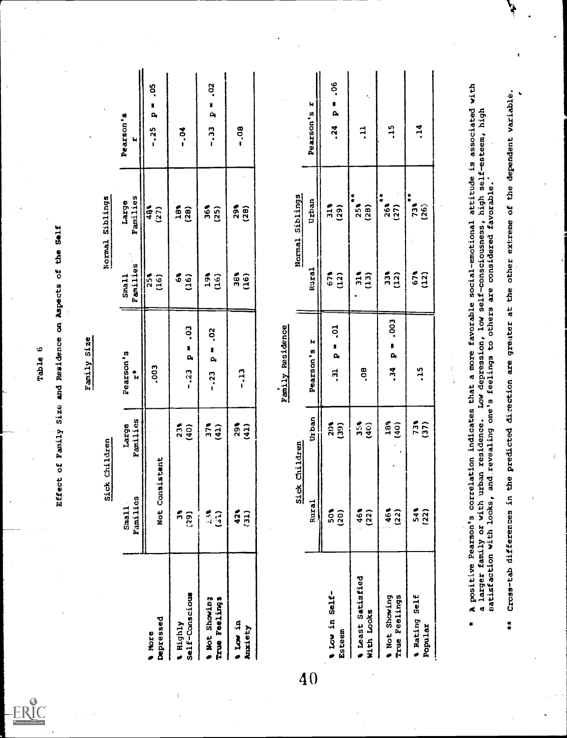|                                  |                   |                                           | Effect of Family Size and Residence on Aspects of the Self<br>Table 6 |                                            |                   |                    |
|----------------------------------|-------------------|-------------------------------------------|-----------------------------------------------------------------------|--------------------------------------------|-------------------|--------------------|
|                                  |                   |                                           |                                                                       |                                            |                   |                    |
|                                  |                   |                                           | Family Size                                                           |                                            |                   |                    |
|                                  |                   | Sick Children                             |                                                                       |                                            | Normal Siblings   |                    |
|                                  | Families<br>Sma11 | Families<br>Large                         | Pearson's<br>t.                                                       | Families<br>Small                          | Families<br>Large | Pearson's<br>Ħ     |
| Depressed<br><b>More</b>         | Not Consistent    |                                           | $\frac{500}{5}$                                                       | $\frac{36}{150}$                           | $\frac{48}{(27)}$ | $-0.25$ $P = 0.05$ |
| Self-Conscious<br><b>Alighly</b> | ក៏ ត្តិ<br>:្ត    | $23$<br>(40)                              | $-23$ $p = -03$                                                       | $\begin{array}{c} 64 \\ 61 \end{array}$    | 18%<br>(28)       | さ・1                |
| Not Showing<br>True Feelings     | 53                | $\begin{array}{c} 374 \\ 411 \end{array}$ | $-23$ $p = -02$                                                       | $\frac{36}{16}$                            | 36<br>(25)        | $-33$ $P = 0.02$   |
| n Low in<br>Anxiety              | 425<br>(31)       | $291$<br>(41)                             | $-13$                                                                 | $\begin{matrix} 16 \\ 0 \\ 0 \end{matrix}$ | 298<br>(28)       | $-0.08$            |

|                                                | Families<br>Sma11                                                    | Families<br>Egrei                        | Pearson's<br>$\ddot{r}$                                                                                                                                                                                                                              | <b>Families</b><br>Small       | Families<br>Large             | Pearson 's<br>ы                                         |
|------------------------------------------------|----------------------------------------------------------------------|------------------------------------------|------------------------------------------------------------------------------------------------------------------------------------------------------------------------------------------------------------------------------------------------------|--------------------------------|-------------------------------|---------------------------------------------------------|
| Depressed<br><b>More</b>                       | Not Consistent                                                       |                                          | -003                                                                                                                                                                                                                                                 | 25 <sub>1</sub><br>(16)        | $\frac{5}{48}$<br>(27)        | °S<br>n<br>$\mathbf{a}_i$<br>$-25$                      |
| Self-Conscious<br><b>Alighly</b>               | ភី<br>(29)                                                           | 23%<br>(40)                              | $\ddot{\circ}$<br>n<br>ρ,<br>$-23$                                                                                                                                                                                                                   | (16)<br>$\ddot{\circ}$         | $\frac{3}{4}$<br>(28)         | $\frac{3}{10}$ .                                        |
| True Feelings<br>a Not Showing                 | $\frac{1}{2}$<br>3                                                   | 37 <sub>8</sub><br>(41)                  | .02<br>N<br>$\mathbf{p}_i$<br>$-123$                                                                                                                                                                                                                 | 3 <sup>8</sup><br>(16)         | $rac{6}{3}$<br>(25)           | So.<br>ų<br>Ŵ<br>$\begin{array}{c} 7 \\ -1 \end{array}$ |
| ar ron in<br>Anxiety                           | 421<br>(31)                                                          | 29%<br>(41)                              | $\ddot{a}$                                                                                                                                                                                                                                           | នី<br>$\widetilde{\mathbf{d}}$ | 29<br>(28)                    | eo.                                                     |
|                                                |                                                                      |                                          | <b>Family Residence</b>                                                                                                                                                                                                                              |                                |                               |                                                         |
|                                                | $\frac{1}{2}$                                                        | k Children                               |                                                                                                                                                                                                                                                      | Normal                         | Siblings                      |                                                         |
|                                                | Rural                                                                | Urban                                    | н<br>Pearson's                                                                                                                                                                                                                                       | Rural                          | Urban                         | н<br>Pearson's                                          |
| a Low in Self-<br>Esteem                       | នី<br>(20)                                                           | (39)<br>213                              | ី<br>N<br>$\mathbf{a}$<br>ಸ್ತ                                                                                                                                                                                                                        | 671<br>(12)                    | $\frac{2}{11}$<br>(29)        | ಿಂ<br>×<br>$\mathbf{p}_i$<br>.24                        |
| Satisfied<br>With Looks<br><i><b>Seast</b></i> | 46%<br>(22)                                                          | 356<br>(40)                              | 8O.                                                                                                                                                                                                                                                  | ក្តី<br>$\overline{13}$        | 無供<br>25 <sub>8</sub><br>(28) | ł,<br>Ę                                                 |
| True Feelings<br>Wot Showing                   | 461<br>(22)                                                          | $\begin{array}{c} 180 \\ 40 \end{array}$ | - 003<br>μ<br>$\mathbf{p}_i$<br>.34                                                                                                                                                                                                                  | (12)<br>ក្លឹ                   | $\frac{1}{4}$<br>263<br>(27)  | $\frac{15}{1}$                                          |
| Self<br><b>Bating</b><br>Popular               | 541<br>(22)                                                          | 737                                      | $\frac{15}{1}$                                                                                                                                                                                                                                       | $\frac{2}{5}$<br>(12)          | 女女<br>731<br>(26)             | $\frac{1}{4}$                                           |
|                                                |                                                                      |                                          | $\begin{array}{c} 1 \\ 1 \\ 1 \\ 1 \end{array}$                                                                                                                                                                                                      |                                |                               |                                                         |
|                                                | a larger family or with urban residence.<br>satisfaction with looks, |                                          | A positive Pearson's correlation indicates that a more favorable social-emotional attitude is associated with<br>Low depression, low self-consciousness, high self-esteem, high<br>and revealing one's feelings to others are considered favorable.' |                                |                               |                                                         |
| $\ddot{\phantom{1}}$                           | Cross-tab differences in                                             |                                          | the predicted direction are greater at the other extreme of the dependent variable.                                                                                                                                                                  |                                |                               | ٠                                                       |
|                                                | $\overline{\mathbf{r}}$                                              |                                          |                                                                                                                                                                                                                                                      |                                |                               |                                                         |

ċ

مي<br>م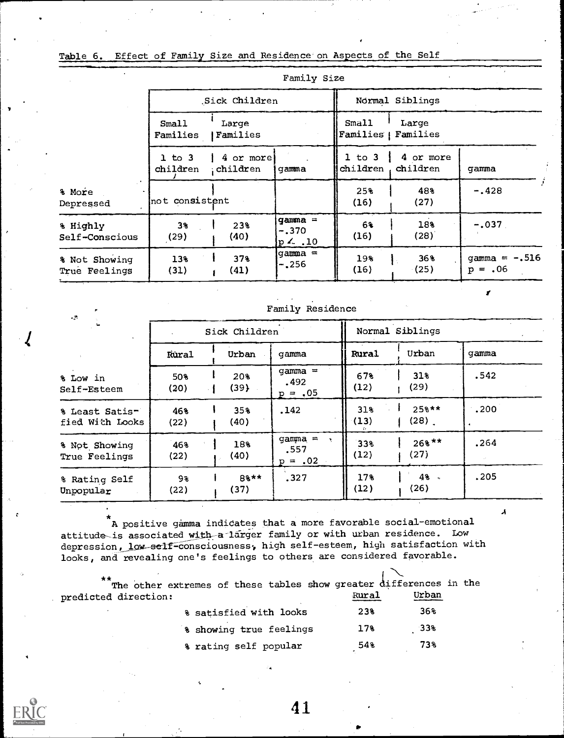# Table 6. Effect of Family Size and Residence on Aspects of the Self

|                                |                        |                       | Family Size                        |                              |                       |                               |
|--------------------------------|------------------------|-----------------------|------------------------------------|------------------------------|-----------------------|-------------------------------|
|                                |                        | Sick Children         |                                    |                              | Normal Siblings       |                               |
|                                | Small<br>Families      | Large<br>Families     |                                    | Small<br>Families   Families | Large                 |                               |
|                                | $1$ to $3$<br>children | 4 or more<br>children | gamma                              | $1$ to $3$<br>children       | 4 or more<br>children | gamma                         |
| % More<br>Depressed            | not consistent         |                       |                                    | 25%<br>(16)                  | 48%<br>(27)           | $-.428$                       |
| % Highly<br>Self-Conscious     | $3*$<br>(29)           | 23%<br>(40)           | gamma =<br>$-.370$<br>$p \sim .10$ | 6%<br>(16)                   | 18%<br>(28)           | $-.037.$                      |
| % Not Showing<br>True Feelings | 13%<br>(31)            | 37%<br>(41)           | gamma =<br>$-.256$                 | 19%<br>(16)                  | 36%<br>(25)           | gamma $= -0.516$<br>$p = .06$ |

| $\sim$ $^{+3.5}_{-1.7}$           |             |               | <b>TOMPTA WORKSHOP</b>                         |              |                                |       |  |  |
|-----------------------------------|-------------|---------------|------------------------------------------------|--------------|--------------------------------|-------|--|--|
|                                   |             | Sick Children |                                                |              | Normal Siblings                |       |  |  |
|                                   | Rural       | Urban         | qamma                                          | <b>Rural</b> | Urban                          | qamma |  |  |
| % Low in<br>Self-Esteem           | 50%<br>(20) | 20%<br>(39)   | gamma $=$<br>.492<br>$p = .05$                 | 67%<br>(12)  | 31%<br>(29)                    | .542  |  |  |
| % Least Satis-<br>fied With Looks | 46%<br>(22) | 35%<br>(40)   | .142                                           | 31%<br>(13)  | $25$ <sup>**</sup><br>$(28)$ . | .200  |  |  |
| % Not Showing<br>True Feelings    | 46%<br>(22) | 18%<br>(40)   | gamma $=$<br>$\mathbf{r}$<br>.557<br>$p = .02$ | 33%<br>(12)  | $268$ <sup>**</sup><br>(27)    | .264  |  |  |
| % Rating Self<br>Unpopular        | 93<br>(22)  | 8%**<br>(37)  | .327                                           | 17%<br>(12)  | 48.<br>(26)                    | .205  |  |  |

A

Family Residence

 $\tilde{P}$  A positive gamma indicates that a more favorable social-emotional attitude-is associated with-a-larger family or with urban residence. Low depression, low-self-consciousness, high self-esteem, high satisfaction with looks, and revealing one's feelings to others are considered favorable.

| **                   | The other extremes of these tables show greater differences in the |                 |       |  |
|----------------------|--------------------------------------------------------------------|-----------------|-------|--|
| predicted direction: |                                                                    | Rural           | Urban |  |
|                      | % satisfied with looks                                             | 23%             | 36%   |  |
|                      | 8 showing true feelings                                            | 17 <sub>8</sub> | .33%  |  |
|                      | % rating self popular                                              | 54%             | 73%   |  |

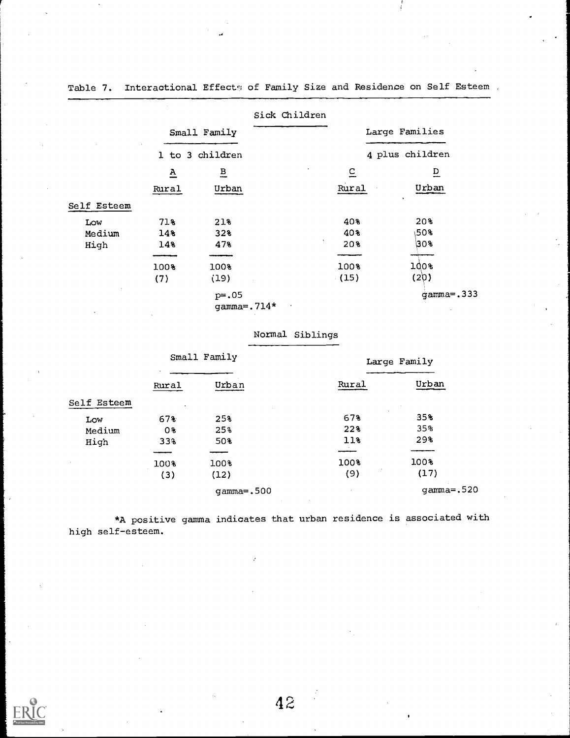|             |                          | Small Family             | Sick Children |             | Large Families  |
|-------------|--------------------------|--------------------------|---------------|-------------|-----------------|
|             |                          | 1 to 3 children          |               |             | 4 plus children |
|             | $\underline{\mathbf{A}}$ | $\overline{B}$           |               | $\subseteq$ | $\overline{D}$  |
|             | Rural                    | Urban                    |               | Rural       | Urban           |
| Self Esteem |                          |                          |               |             |                 |
| Low         | 71%                      | 21%                      |               | 40%         | 20%             |
| Medium      | 14%                      | 32%                      |               | 40%         | ∖50%            |
| High        | 14%                      | 47%                      | ۰.            | 20%         | 30%             |
|             | 100%                     | 100%                     |               | 100%        | 100%            |
|             | (7)                      | (19)                     |               | (15)        | (20)            |
|             |                          | $p = .05$<br>gamma=.714* | $\bullet$     |             | $gamma = .333$  |

Table 7. Interactional Effect<sub>5</sub> of Family Size and Residence on Self Esteem,

# Normal Siblings

|             | Small Family    |                | Large Family |              |  |
|-------------|-----------------|----------------|--------------|--------------|--|
|             | Rural           | Urban          | Rural        | Urban        |  |
| Self Esteem | $\bullet$       |                |              |              |  |
| Low         | 67%             | 25%            | 67%          | 35%          |  |
| Medium      | 0%              | 25%            | 22%          | 35%          |  |
| High        | 33 <sup>3</sup> | 50%            | 11           | 29%          |  |
|             |                 |                |              |              |  |
|             | 100%            | 100%           | 100%         | 100%         |  |
|             | (3)             | (12)           | (9)          | (17)         |  |
|             |                 | $gamma = .500$ |              | $gamma=.520$ |  |

\*A positive gamma indicates that urban residence is associated with high self-esteem.

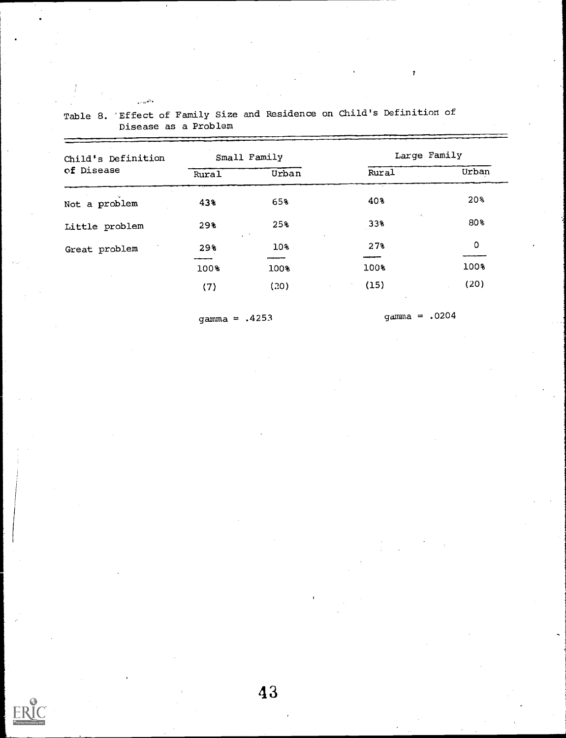| Child's Definition |       | Small Family     | Large Family                    |       |
|--------------------|-------|------------------|---------------------------------|-------|
| of Disease         | Rural | Urban            | Rural                           | Urban |
| Not a problem      | 43%   | 65%              | 40%                             | 20%   |
| Little problem     | 298   | 25%              | $\mathcal{P}_\mathrm{A}$<br>33% | 80%   |
| Great problem      | 29%   | $\ddotsc$<br>10% | 27%                             | 0     |
|                    | 100%  | 100%             | 100%                            | 100%  |
|                    | (7)   | (20)             | (15)                            | (20)  |

Table 8. 'Effect of Family Size and Residence on Child's Definition of Disease as a Problem

 $\sqrt{\epsilon} \, e^{\frac{1}{2} \mathbf{r}^2 \cdot \mathbf{r}}$ 

gamma = .4253 gamma = .0204

 $\pmb{\gamma}$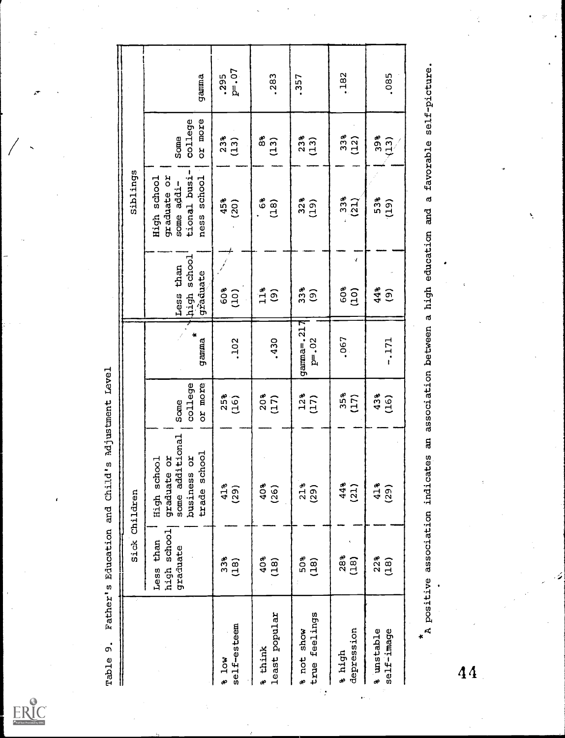$\underset{\overbrace{\mathsf{Fulltest\,Proofed}\, \mathsf{by\,}(E)}}{\sum\limits_{\mathsf{FullTest\,Proofed\,}(E)}}$ 

 $\ddot{a}$ 

|                                 |                                         | Sick Children                                                                        |                            |                                |                                      | Siblings                                                                       |                            |                   |
|---------------------------------|-----------------------------------------|--------------------------------------------------------------------------------------|----------------------------|--------------------------------|--------------------------------------|--------------------------------------------------------------------------------|----------------------------|-------------------|
|                                 | high school<br>than<br>graduate<br>Less | tional<br>trade school<br>ă<br>č<br>High school<br>some addi<br>business<br>graduate | college<br>or more<br>Some | gamma                          | high school<br>Less than<br>graduate | 1<br>graduate or<br>tional busi<br>school<br>High school<br>some addi-<br>ness | or more<br>college<br>Some | gamma             |
| self-esteem<br>304              | 33 <sub>8</sub><br>(18)                 | 41%<br>(29)                                                                          | $25%$<br>(16)              | .102                           | 60%<br>(101)                         | $45%$<br>(20)                                                                  | $238$<br>(13)              | $P = -07$<br>.295 |
| least popular<br><b>a</b> think | 40%<br>(18)                             | 40%<br>(26)                                                                          | $20%$<br>(17)              | .430                           | 11 <sub>8</sub><br>$\widehat{e}$     | $\frac{8}{6}$<br>(18)                                                          | ౚి<br>$(13)$               | .283              |
| true feelings<br>s not show     | 50%<br>(18)                             | 21%<br>(29)                                                                          | $12%$<br>(17)              | $g$ arma=.217<br>$P^{\pm}$ .02 | 33 <sub>8</sub><br>$\widehat{e}$     | 32 <sub>8</sub><br>(19)                                                        | $23%$<br>(13)              | .357              |
| depression<br>a high            | 28%<br>(18)                             | 44%<br>(21)                                                                          | 35%<br>(17)                | .067                           | J<br>60%<br>(101)                    | 33 <sub>8</sub><br>$\widetilde{a}$                                             | $33*$<br>(12)              | .182              |
| a unstable<br>self-image        | 22%<br>(18)                             | $41$ <sup>s</sup><br>(29)                                                            | $43%$<br>(16)              | $-171$                         | 44%<br><u>(၅</u>                     | 53%<br>(19)                                                                    | $398$<br>(13)              | .085              |
|                                 |                                         | ដ<br><br>A positive association indicates                                            |                            | association between            | a high education and                 |                                                                                | a favorable self-picture.  |                   |

 $\overline{44}$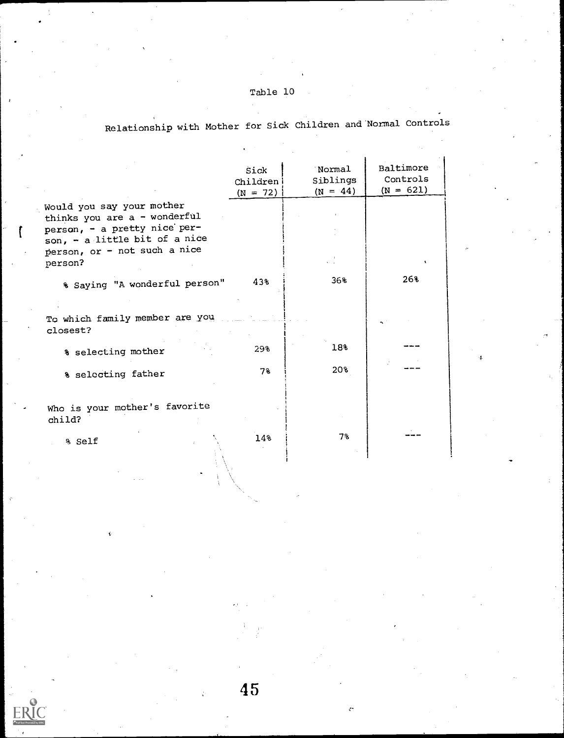# Table 10

Relationship with Mother for Sick Children and Normal Controls

|                                                                                                                                                                       | Sick<br>Children<br>$(N = 72)$ | Normal<br>Siblings<br>$(N = 44)$ | Baltimore<br>Controls<br>$(N = 621)$ |
|-----------------------------------------------------------------------------------------------------------------------------------------------------------------------|--------------------------------|----------------------------------|--------------------------------------|
| Would you say your mother<br>thinks you are a - wonderful<br>person, - a pretty nice per-<br>son, - a little bit of a nice<br>person, or - not such a nice<br>person? |                                |                                  |                                      |
| % Saying "A wonderful person"                                                                                                                                         | 43%                            | 36%                              | 26%                                  |
| To which family member are you<br>closest?                                                                                                                            |                                |                                  |                                      |
| % selecting mother                                                                                                                                                    | 29%                            | 18%                              |                                      |
| % selecting father                                                                                                                                                    | $7\%$                          | 20%                              |                                      |
| Who is your mother's favorite<br>child?                                                                                                                               |                                |                                  |                                      |
| % Self                                                                                                                                                                | 14%                            | 7%                               |                                      |

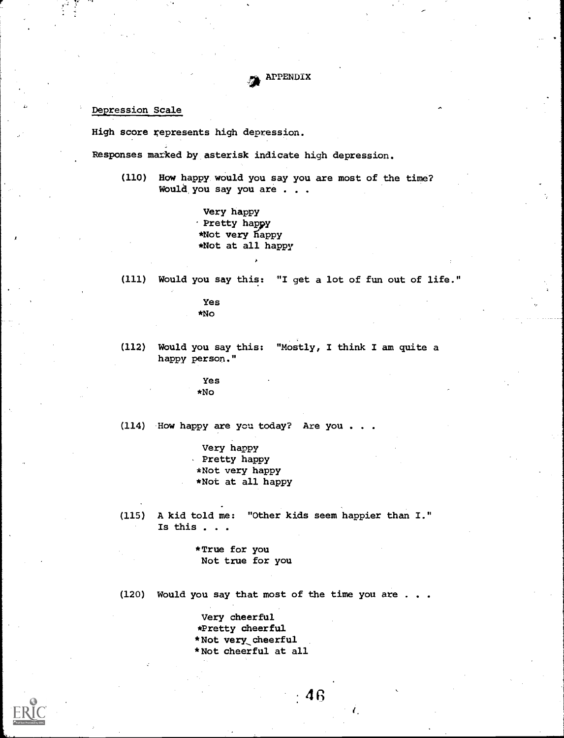APPENDIX

# Depression Scale

High score represents high depression.

Responses marked by asterisk indicate high depression.

(110) How happy would you say you are most of the time? Would,you say you are . . .

> Very happy Pretty happy \*Not very happy \*Not at all happy

(111) Would you say this: "I get a lot of fun out of life."

Yes \*No

(112) Would you say this: "Mostly, I think I am quite a happy person."

> Yes \*No

(114) How happy are you today? Are you . .

Very happy Pretty happy \*Not very happy \*Not at all happy

(115) A kid told me: "Other kids seem happier than I." Is this . . .

> \*True for you Not true for you

(120) Would you say that most of the time you are . .

Very cheerful \*Pretty cheerful \*Not very, cheerful \*Not cheerful at all

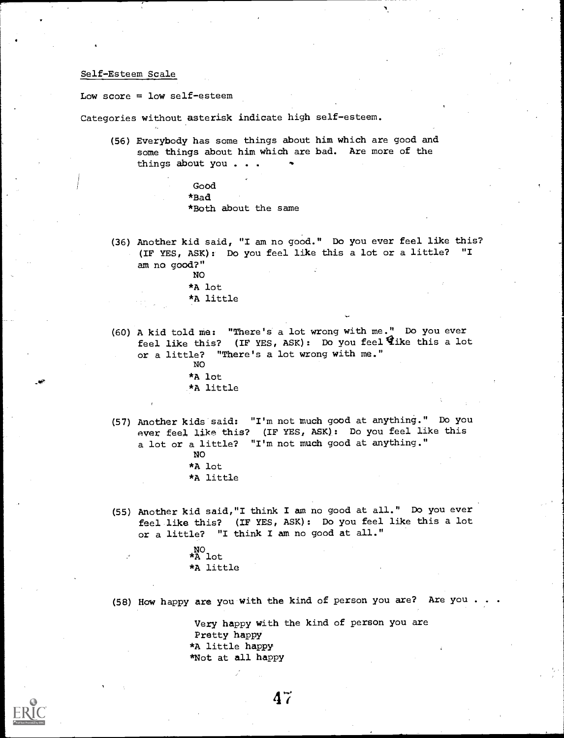# Self-Esteem Scale

Low score  $=$  low self-esteem

Categories without asterisk indicate high self-esteem.

(56) Everybody has some things about him which are good and some things about him which are bad. Are more of the things about you  $\ldots$ 

> Good \*Bad \*Both about the same

(36) Another kid said, "I am no good." Do you ever feel like this? (IF YES, ASK):- Do you feel like this a lot or a little? "I am no good?"

> NO \*A lot \*A little

(60) A kid told me: "There's a lot wrong with me." Do you ever feel like this? (IF YES, ASK): Do you feel this a lot or a little? "There's a lot wrong with me." NO

\*A lot \*A little

- (57) Another kids said: "I'm not much good at anything." Do you ever feel like this? (IF YES, ASK): Do you feel like this a lot or a little? "I'm not much good at anything." NO
	- \*A lot
	- \*A little
- (55) Another kid said,"I think I am no good at all." Do you ever feel like this? (IF YES, ASK): Do you feel like this a lot or a little? "I think I am no good at all."

NO \*A lot \*A little

(58) How happy are you with the kind of person you are? Are you .

 $47$ 

Very happy with the kind of person you are Pretty happy \*A little happy \*Not at all happy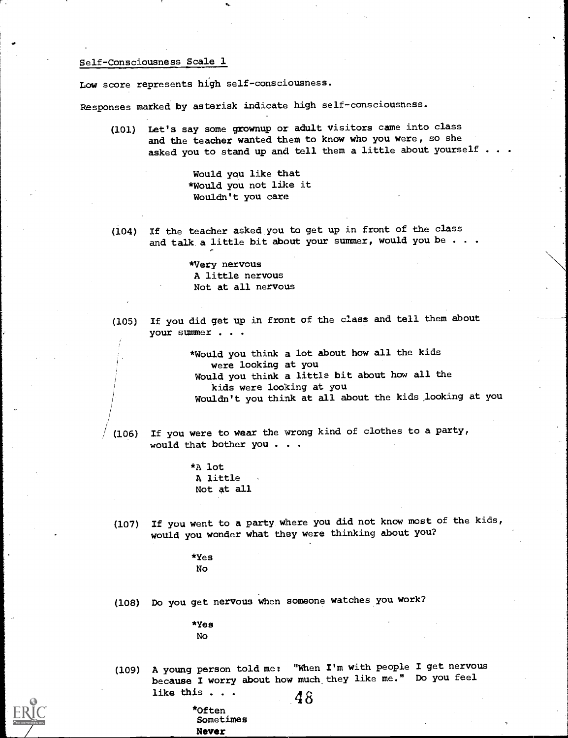# Self-Consciousness Scale 1

Low score represents high self-consciousness.

Responses marked by asterisk indicate high self-consciousness.

(101) Let's say some grownup or adult visitors came into class and the teacher wanted them to know who you were, so she asked you to stand up and tell them a little about yourself . .

> Would you like that \*Would you not like it Wouldn't you care

(104) If the teacher asked you to get up in front of the class and talk a little bit about your summer, would you be . . .

> \*Very nervous A little nervous Not at all nervous

(105) If you did get up in front of the class and tell them about your summer . . .

> \*Would you think a lot about how all the kids were looking at you Would you think a little bit about how all the kids were looking at you Wouldn't you think at all about the kids looking at you

/ (106) If you were to wear the wrong kind of clothes to a party, would that bother you . . .

> \*A lot A little Not at all

(107) If you went to a party where you did not know most of the kids, would you wonder what they were thinking about you?

> \*Yes No

(108) Do you get nervous when someone watches you work?

\*Yes No

(109) A young person told me; "When I'm with people I get nervous because I worry about how much, they like me." Do you feel like this  $\cdots$  48

\*Of ten Sometimes Never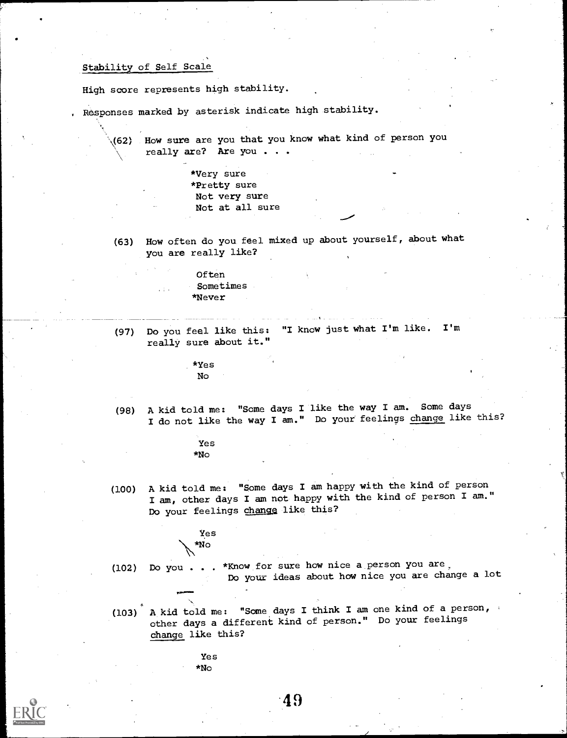# Stability of Self Scale

High score represents high stability.

Responses marked by asterisk indicate high stability.

(62) How sure are you that you know what kind of person you really are? Are you . . .

> \*Very sure \*Pretty sure Not very sure Not at all sure

(63) How often do you feel mixed up about yourself, about what you are really like?

> Often Sometimes \*Never

(97) Do you feel like this: "I know just what I'm like. I'm really sure about it."

> \*Yes No

(98) A kid told me: "Some days I like the way I am. Some days I do not like the way I am." Do your feelings change like this?

> Yes \*No

(100) A kid told me: "Some days I am happy with the kind of person I am, other days I am not happy with the kind of person I am." Do your feelings change like this?

Y.

Yes  $*_{N_O}$ 

(102) Do you . . . \*Know for sure how nice a person you are Do your ideas about how nice you are change a lot

- (103) A kid told me: "Some days I think I am one kind of a person, other days a different kind of person." Do your feelings Change like this?
	- Yes \*No

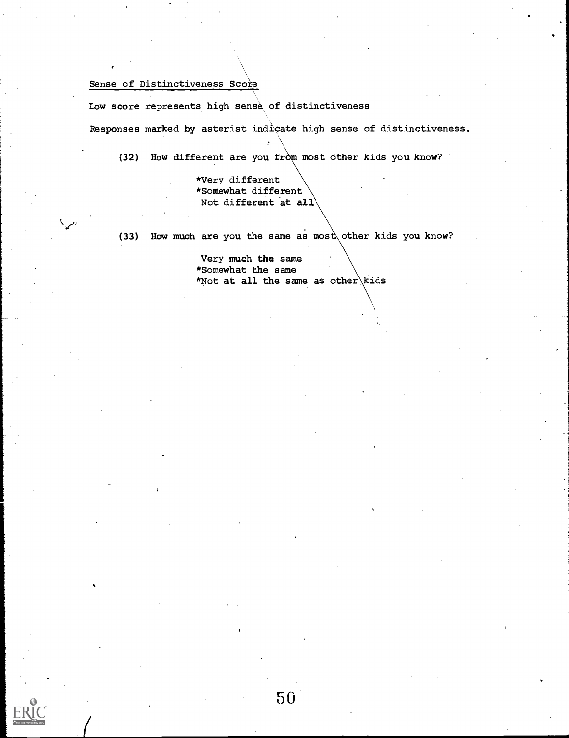# Sense of Distinctiveness Score

Low score represents high sense of distinctiveness

Responses marked by asterist indicate high sense of distinctiveness.

(32) How different are you from most other kids you know?

\*Very different \*Somewhat different Not different at all

(33) How much are you the same as most other kids you know?

Very much the same \*Somewhat the same \*Not at all the same as other kids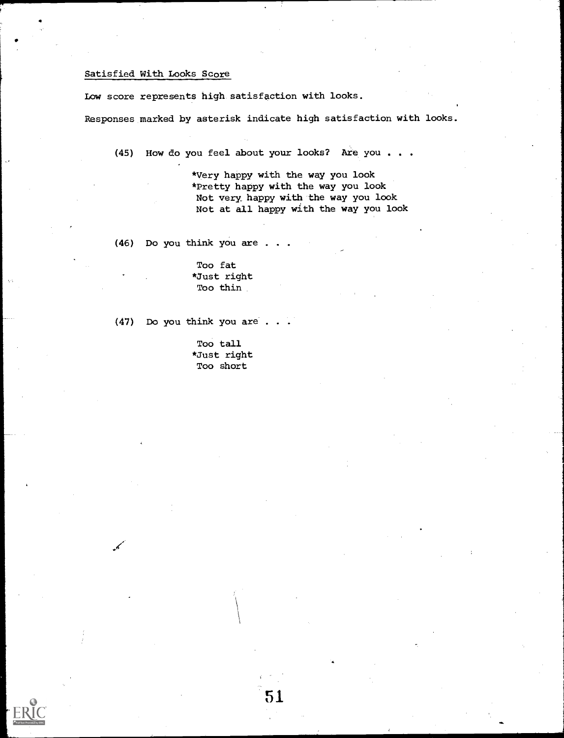# Satisfied With Looks Score

Low score represents high satisfaction with looks.

Responses marked by asterisk indicate high satisfaction with looks.

(45) How do you feel about your looks? Are you . . .

\*Very happy with the way you look \*Pretty happy with the way you look Not very happy with the way you look Not at all happy with the way you look

(46) Do you think you are . .

Too fat \*Just right Too thin

(47) Do you think you are . .

Too tall \*Just right Too short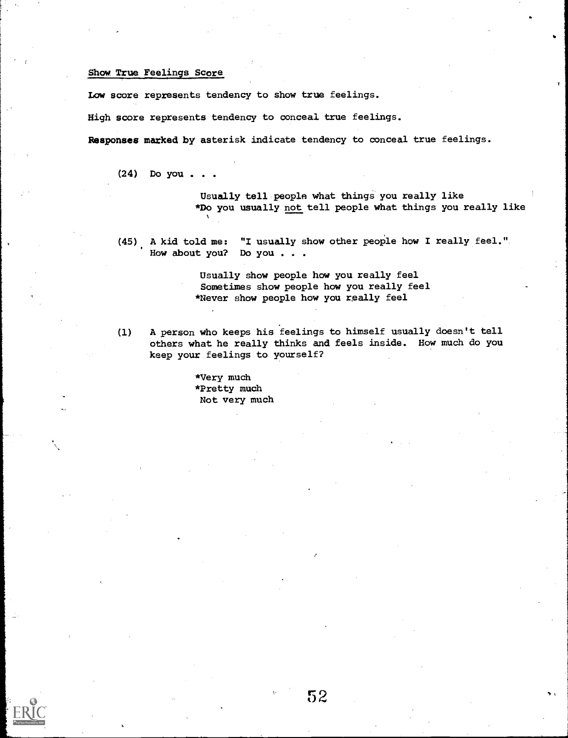# Show True Feelings Score

Low score represents tendency to show true feelings.

High score represents tendency to conceal true feelings.

Responses marked by asterisk indicate tendency to conceal true feelings.

(24) Do you . .

Usually tell people what things you really like \*Do you usually not tell people what things you really like

(45), A kid told me: "I usually show other people how I really feel. ". How about you? Do you . . .

> Usually show people how you really feel Sometimes show people how you really feel \*Never show people how you really feel

(1) A person who keeps his feelings to himself usually doesn't tell others what he really thinks and feels inside. How much do you keep your feelings to yourself?

> \*Very much \*Pretty much Not very much